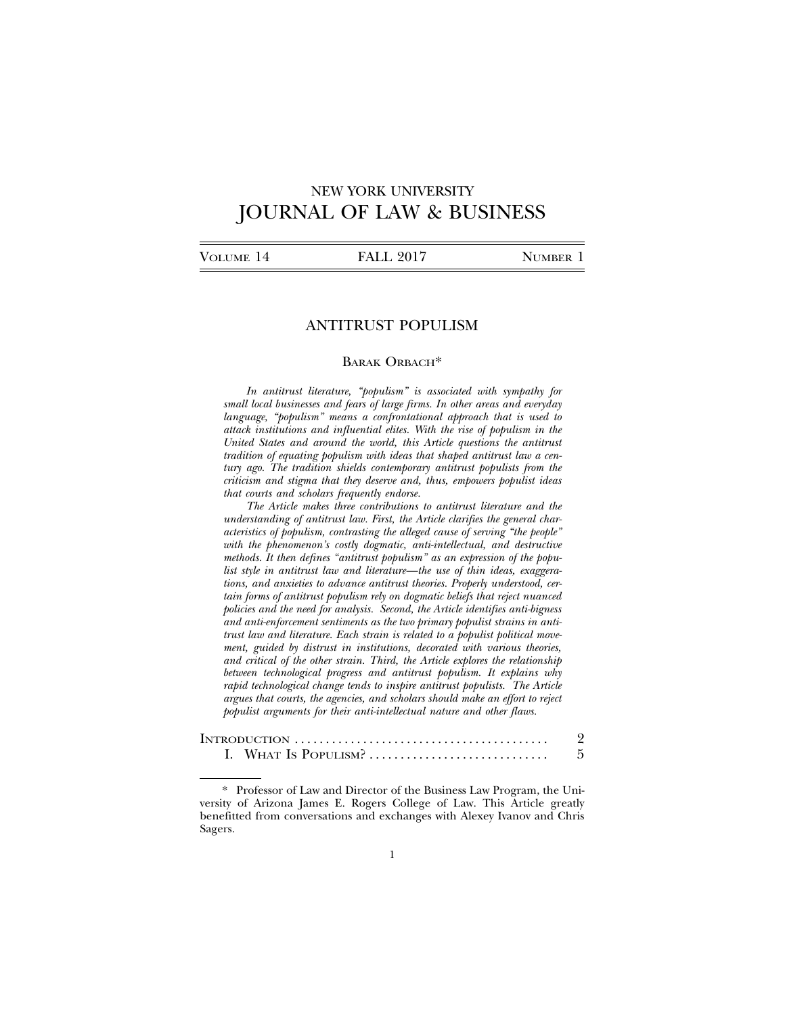# NEW YORK UNIVERSITY JOURNAL OF LAW & BUSINESS

| VOLUME 14 | <b>FALL 2017</b> | NUMBER 1 |
|-----------|------------------|----------|
|           |                  |          |

# ANTITRUST POPULISM

#### BARAK ORBACH\*

*In antitrust literature, "populism" is associated with sympathy for small local businesses and fears of large firms. In other areas and everyday language, "populism" means a confrontational approach that is used to attack institutions and influential elites. With the rise of populism in the United States and around the world, this Article questions the antitrust tradition of equating populism with ideas that shaped antitrust law a century ago. The tradition shields contemporary antitrust populists from the criticism and stigma that they deserve and, thus, empowers populist ideas that courts and scholars frequently endorse.*

*The Article makes three contributions to antitrust literature and the understanding of antitrust law. First, the Article clarifies the general characteristics of populism, contrasting the alleged cause of serving "the people" with the phenomenon's costly dogmatic, anti-intellectual, and destructive methods. It then defines "antitrust populism" as an expression of the populist style in antitrust law and literature—the use of thin ideas, exaggerations, and anxieties to advance antitrust theories. Properly understood, certain forms of antitrust populism rely on dogmatic beliefs that reject nuanced policies and the need for analysis. Second, the Article identifies anti-bigness and anti-enforcement sentiments as the two primary populist strains in antitrust law and literature. Each strain is related to a populist political movement, guided by distrust in institutions, decorated with various theories, and critical of the other strain. Third, the Article explores the relationship between technological progress and antitrust populism. It explains why rapid technological change tends to inspire antitrust populists. The Article argues that courts, the agencies, and scholars should make an effort to reject populist arguments for their anti-intellectual nature and other flaws.*

| I. WHAT Is POPULISM? |  |
|----------------------|--|

\* Professor of Law and Director of the Business Law Program, the University of Arizona James E. Rogers College of Law. This Article greatly benefitted from conversations and exchanges with Alexey Ivanov and Chris Sagers.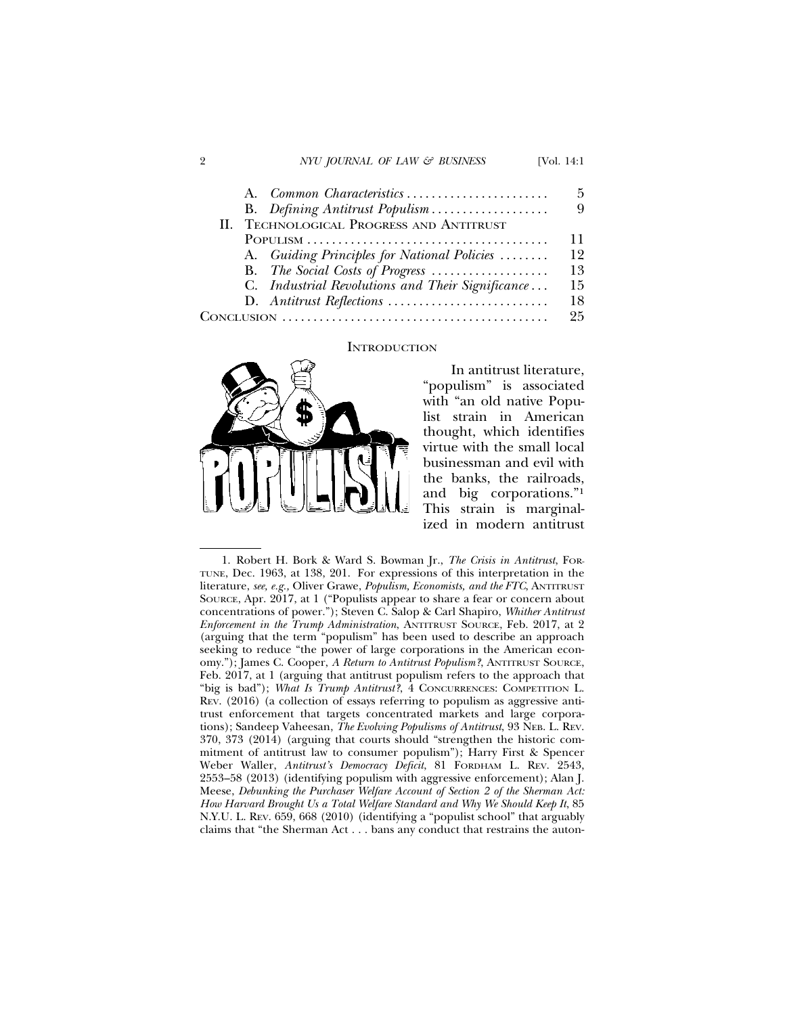#### 2 *NYU JOURNAL OF LAW & BUSINESS* [Vol. 14:1]

| A. Common Characteristics                        | 5  |
|--------------------------------------------------|----|
| B. Defining Antitrust Populism                   | 9  |
| II. TECHNOLOGICAL PROGRESS AND ANTITRUST         |    |
|                                                  | 11 |
| A. Guiding Principles for National Policies      | 12 |
| B. The Social Costs of Progress                  | 13 |
| C. Industrial Revolutions and Their Significance | 15 |
|                                                  | 18 |
|                                                  | 25 |

#### **INTRODUCTION**



In antitrust literature, "populism" is associated with "an old native Populist strain in American thought, which identifies virtue with the small local businessman and evil with the banks, the railroads, and big corporations."1 This strain is marginalized in modern antitrust

1. Robert H. Bork & Ward S. Bowman Jr., *The Crisis in Antitrust*, FOR-TUNE, Dec. 1963, at 138, 201. For expressions of this interpretation in the literature, *see, e.g.,* Oliver Grawe, *Populism, Economists, and the FTC*, ANTITRUST SOURCE, Apr. 2017, at 1 ("Populists appear to share a fear or concern about concentrations of power."); Steven C. Salop & Carl Shapiro, *Whither Antitrust Enforcement in the Trump Administration*, ANTITRUST SOURCE, Feb. 2017, at 2 (arguing that the term "populism" has been used to describe an approach seeking to reduce "the power of large corporations in the American economy."); James C. Cooper, *A Return to Antitrust Populism?*, ANTITRUST SOURCE, Feb. 2017, at 1 (arguing that antitrust populism refers to the approach that "big is bad"); *What Is Trump Antitrust?*, 4 CONCURRENCES: COMPETITION L. REV. (2016) (a collection of essays referring to populism as aggressive antitrust enforcement that targets concentrated markets and large corporations); Sandeep Vaheesan, *The Evolving Populisms of Antitrust*, 93 NEB. L. REV. 370, 373 (2014) (arguing that courts should "strengthen the historic commitment of antitrust law to consumer populism"); Harry First & Spencer Weber Waller, *Antitrust's Democracy Deficit*, 81 FORDHAM L. REV. 2543, 2553–58 (2013) (identifying populism with aggressive enforcement); Alan J. Meese, *Debunking the Purchaser Welfare Account of Section 2 of the Sherman Act: How Harvard Brought Us a Total Welfare Standard and Why We Should Keep It*, 85 N.Y.U. L. REV. 659, 668 (2010) (identifying a "populist school" that arguably claims that "the Sherman Act . . . bans any conduct that restrains the auton-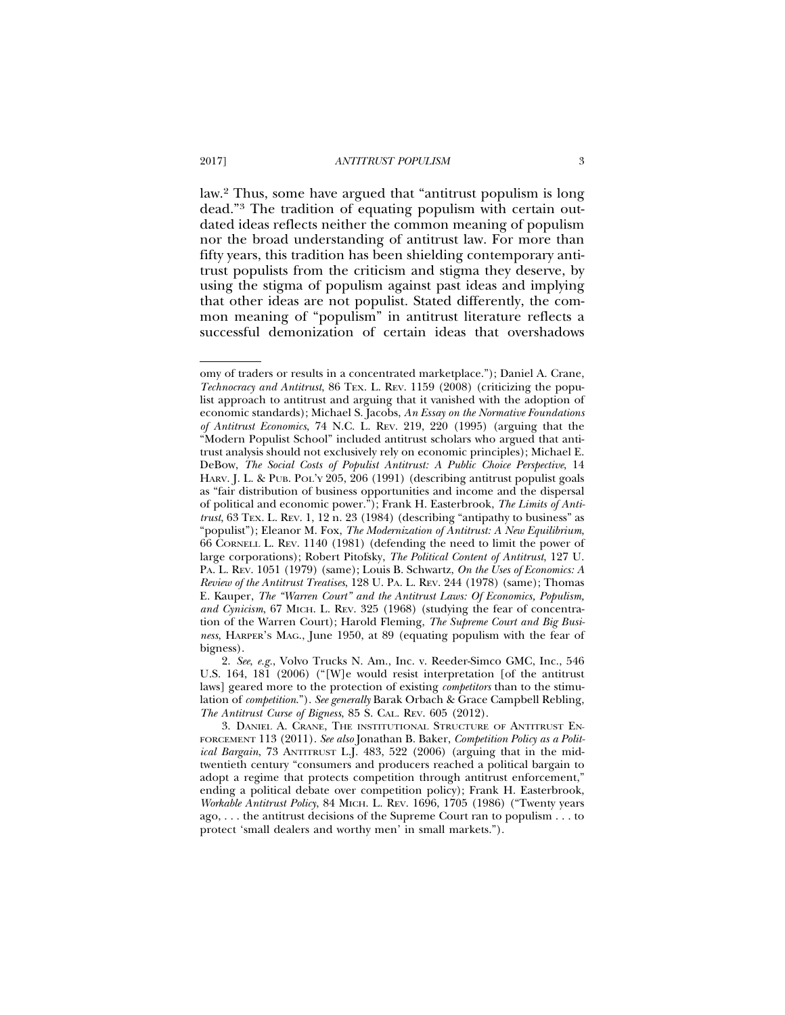law.2 Thus, some have argued that "antitrust populism is long dead."3 The tradition of equating populism with certain outdated ideas reflects neither the common meaning of populism nor the broad understanding of antitrust law. For more than fifty years, this tradition has been shielding contemporary antitrust populists from the criticism and stigma they deserve, by using the stigma of populism against past ideas and implying that other ideas are not populist. Stated differently, the common meaning of "populism" in antitrust literature reflects a successful demonization of certain ideas that overshadows

omy of traders or results in a concentrated marketplace."); Daniel A. Crane, *Technocracy and Antitrust*, 86 TEX. L. REV. 1159 (2008) (criticizing the populist approach to antitrust and arguing that it vanished with the adoption of economic standards); Michael S. Jacobs, *An Essay on the Normative Foundations of Antitrust Economics*, 74 N.C. L. REV. 219, 220 (1995) (arguing that the "Modern Populist School" included antitrust scholars who argued that antitrust analysis should not exclusively rely on economic principles); Michael E. DeBow, *The Social Costs of Populist Antitrust: A Public Choice Perspective*, 14 HARV. J. L. & PUB. POL'Y 205, 206 (1991) (describing antitrust populist goals as "fair distribution of business opportunities and income and the dispersal of political and economic power."); Frank H. Easterbrook, *The Limits of Antitrust*, 63 TEX. L. REV. 1, 12 n. 23 (1984) (describing "antipathy to business" as "populist"); Eleanor M. Fox, *The Modernization of Antitrust: A New Equilibrium*, 66 CORNELL L. REV. 1140 (1981) (defending the need to limit the power of large corporations); Robert Pitofsky, *The Political Content of Antitrust*, 127 U. PA. L. REV. 1051 (1979) (same); Louis B. Schwartz, *On the Uses of Economics: A Review of the Antitrust Treatises*, 128 U. PA. L. REV. 244 (1978) (same); Thomas E. Kauper, *The "Warren Court" and the Antitrust Laws: Of Economics, Populism, and Cynicism*, 67 MICH. L. REV. 325 (1968) (studying the fear of concentration of the Warren Court); Harold Fleming, *The Supreme Court and Big Business*, HARPER'S MAG., June 1950, at 89 (equating populism with the fear of bigness).

<sup>2.</sup> *See*, *e.g.*, Volvo Trucks N. Am., Inc. v. Reeder-Simco GMC, Inc., 546 U.S. 164, 181 (2006) ("[W]e would resist interpretation [of the antitrust laws] geared more to the protection of existing *competitors* than to the stimulation of *competition*."). *See generally* Barak Orbach & Grace Campbell Rebling, *The Antitrust Curse of Bigness*, 85 S. CAL. REV. 605 (2012).

<sup>3.</sup> DANIEL A. CRANE, THE INSTITUTIONAL STRUCTURE OF ANTITRUST EN-FORCEMENT 113 (2011). *See also* Jonathan B. Baker, *Competition Policy as a Political Bargain*, 73 ANTITRUST L.J. 483, 522 (2006) (arguing that in the midtwentieth century "consumers and producers reached a political bargain to adopt a regime that protects competition through antitrust enforcement," ending a political debate over competition policy); Frank H. Easterbrook, *Workable Antitrust Policy*, 84 MICH. L. REV. 1696, 1705 (1986) ("Twenty years ago, . . . the antitrust decisions of the Supreme Court ran to populism . . . to protect 'small dealers and worthy men' in small markets.").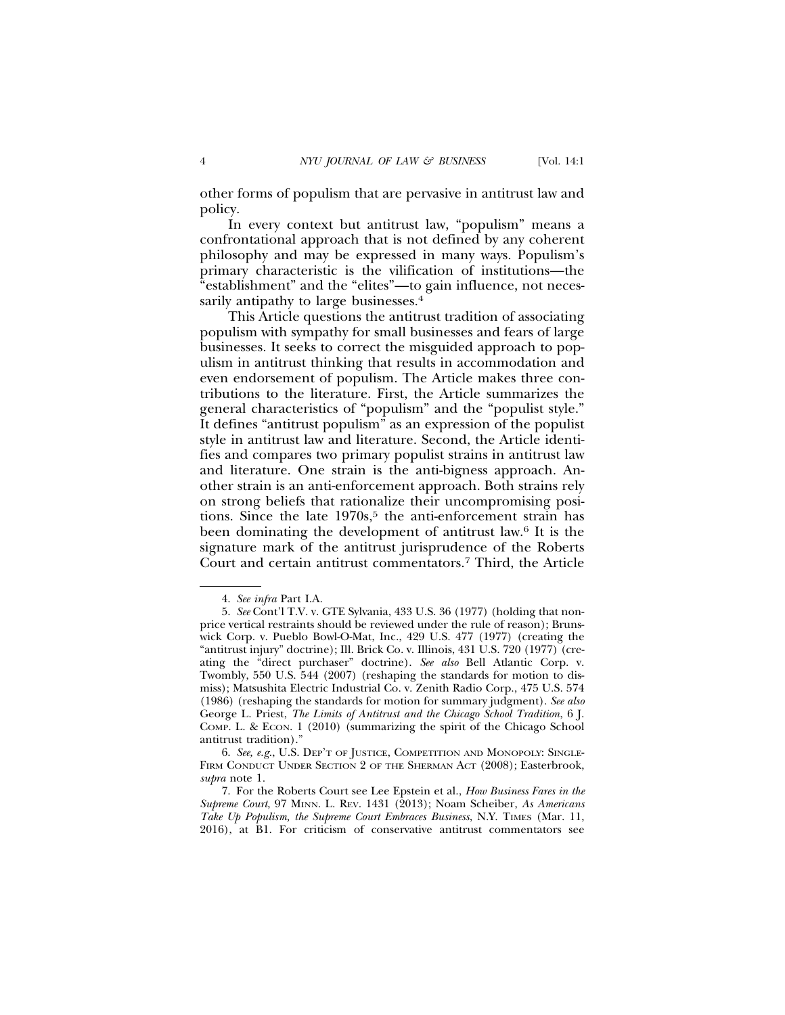other forms of populism that are pervasive in antitrust law and policy.

In every context but antitrust law, "populism" means a confrontational approach that is not defined by any coherent philosophy and may be expressed in many ways. Populism's primary characteristic is the vilification of institutions—the "establishment" and the "elites"—to gain influence, not necessarily antipathy to large businesses.<sup>4</sup>

This Article questions the antitrust tradition of associating populism with sympathy for small businesses and fears of large businesses. It seeks to correct the misguided approach to populism in antitrust thinking that results in accommodation and even endorsement of populism. The Article makes three contributions to the literature. First, the Article summarizes the general characteristics of "populism" and the "populist style." It defines "antitrust populism" as an expression of the populist style in antitrust law and literature. Second, the Article identifies and compares two primary populist strains in antitrust law and literature. One strain is the anti-bigness approach. Another strain is an anti-enforcement approach. Both strains rely on strong beliefs that rationalize their uncompromising positions. Since the late  $1970s$ ,<sup>5</sup> the anti-enforcement strain has been dominating the development of antitrust law.6 It is the signature mark of the antitrust jurisprudence of the Roberts Court and certain antitrust commentators.7 Third, the Article

<sup>4.</sup> *See infra* Part I.A.

<sup>5.</sup> *See* Cont'l T.V. v. GTE Sylvania, 433 U.S. 36 (1977) (holding that nonprice vertical restraints should be reviewed under the rule of reason); Brunswick Corp. v. Pueblo Bowl-O-Mat, Inc., 429 U.S. 477 (1977) (creating the "antitrust injury" doctrine); Ill. Brick Co. v. Illinois, 431 U.S. 720 (1977) (creating the "direct purchaser" doctrine). *See also* Bell Atlantic Corp. v. Twombly, 550 U.S. 544 (2007) (reshaping the standards for motion to dismiss); Matsushita Electric Industrial Co. v. Zenith Radio Corp., 475 U.S. 574 (1986) (reshaping the standards for motion for summary judgment). *See also* George L. Priest, *The Limits of Antitrust and the Chicago School Tradition*, 6 J. COMP. L. & ECON. 1 (2010) (summarizing the spirit of the Chicago School antitrust tradition)."

<sup>6.</sup> *See, e.g.*, U.S. DEP'T OF JUSTICE, COMPETITION AND MONOPOLY: SINGLE-FIRM CONDUCT UNDER SECTION 2 OF THE SHERMAN ACT (2008); Easterbrook, *supra* note 1.

<sup>7.</sup> For the Roberts Court see Lee Epstein et al., *How Business Fares in the Supreme Court*, 97 MINN. L. REV. 1431 (2013); Noam Scheiber, *As Americans Take Up Populism, the Supreme Court Embraces Business*, N.Y. TIMES (Mar. 11, 2016), at B1. For criticism of conservative antitrust commentators see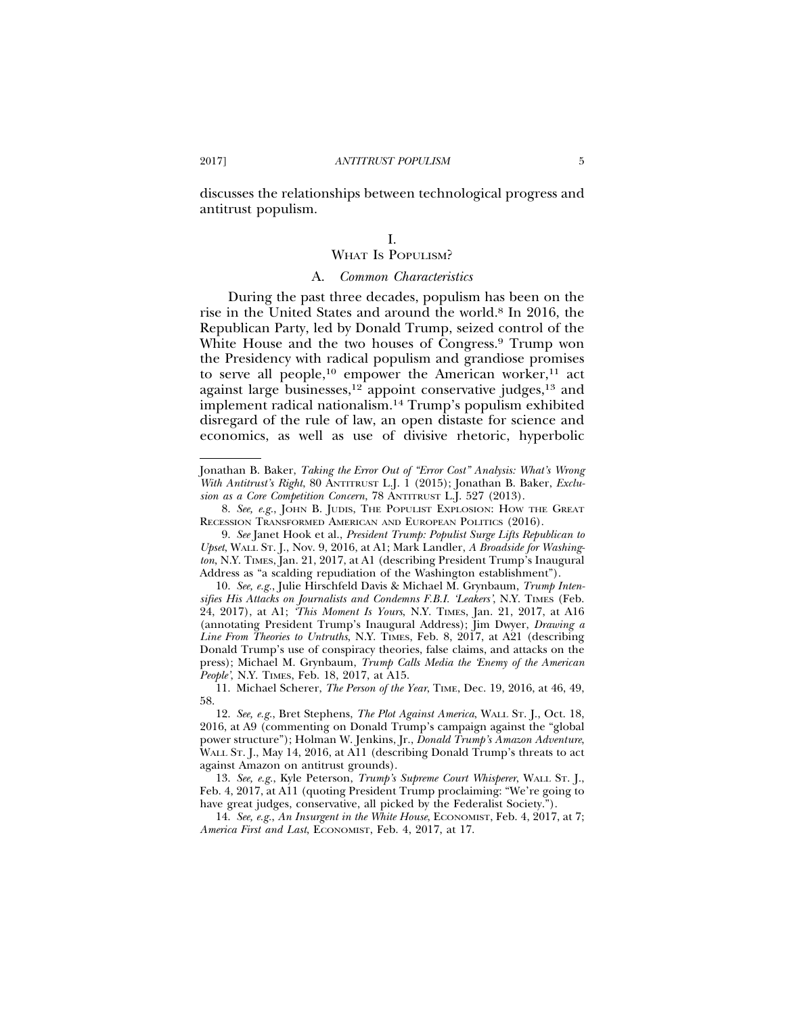discusses the relationships between technological progress and antitrust populism.

# I. WHAT IS POPULISM?

#### A. *Common Characteristics*

During the past three decades, populism has been on the rise in the United States and around the world.8 In 2016, the Republican Party, led by Donald Trump, seized control of the White House and the two houses of Congress.9 Trump won the Presidency with radical populism and grandiose promises to serve all people,<sup>10</sup> empower the American worker,<sup>11</sup> act against large businesses,<sup>12</sup> appoint conservative judges,<sup>13</sup> and implement radical nationalism.14 Trump's populism exhibited disregard of the rule of law, an open distaste for science and economics, as well as use of divisive rhetoric, hyperbolic

Jonathan B. Baker, *Taking the Error Out of "Error Cost" Analysis: What's Wrong With Antitrust's Right*, 80 ANTITRUST L.J. 1 (2015); Jonathan B. Baker, *Exclusion as a Core Competition Concern*, 78 ANTITRUST L.J. 527 (2013).

<sup>8.</sup> *See, e.g.*, JOHN B. JUDIS, THE POPULIST EXPLOSION: HOW THE GREAT RECESSION TRANSFORMED AMERICAN AND EUROPEAN POLITICS (2016).

<sup>9.</sup> *See* Janet Hook et al., *President Trump: Populist Surge Lifts Republican to Upset*, WALL ST. J., Nov. 9, 2016, at A1; Mark Landler, *A Broadside for Washington*, N.Y. TIMES, Jan. 21, 2017, at A1 (describing President Trump's Inaugural Address as "a scalding repudiation of the Washington establishment").

<sup>10.</sup> *See, e.g.*, Julie Hirschfeld Davis & Michael M. Grynbaum, *Trump Intensifies His Attacks on Journalists and Condemns F.B.I. 'Leakers'*, N.Y. TIMES (Feb. 24, 2017), at A1; *'This Moment Is Yours*, N.Y. TIMES, Jan. 21, 2017, at A16 (annotating President Trump's Inaugural Address); Jim Dwyer, *Drawing a Line From Theories to Untruths*, N.Y. TIMES, Feb. 8, 2017, at A21 (describing Donald Trump's use of conspiracy theories, false claims, and attacks on the press); Michael M. Grynbaum, *Trump Calls Media the 'Enemy of the American People'*, N.Y. TIMES, Feb. 18, 2017, at A15.

<sup>11.</sup> Michael Scherer, *The Person of the Year*, TIME, Dec. 19, 2016, at 46, 49, 58.

<sup>12.</sup> *See, e.g.*, Bret Stephens, *The Plot Against America*, WALL ST. J., Oct. 18, 2016, at A9 (commenting on Donald Trump's campaign against the "global power structure"); Holman W. Jenkins, Jr., *Donald Trump's Amazon Adventure*, WALL ST. J., May 14, 2016, at A11 (describing Donald Trump's threats to act against Amazon on antitrust grounds).

<sup>13.</sup> *See, e.g.*, Kyle Peterson, *Trump's Supreme Court Whisperer*, WALL ST. J., Feb. 4, 2017, at A11 (quoting President Trump proclaiming: "We're going to have great judges, conservative, all picked by the Federalist Society.").

<sup>14.</sup> *See, e.g.*, *An Insurgent in the White House*, ECONOMIST, Feb. 4, 2017, at 7; *America First and Last*, ECONOMIST, Feb. 4, 2017, at 17.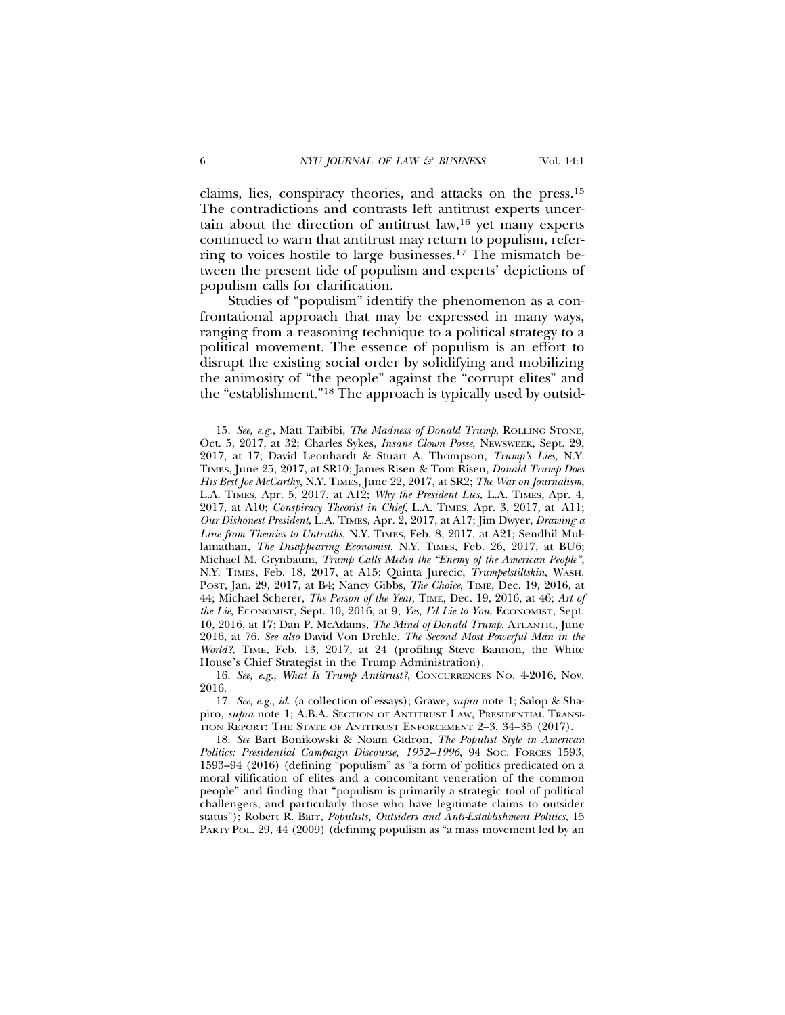claims, lies, conspiracy theories, and attacks on the press.15 The contradictions and contrasts left antitrust experts uncertain about the direction of antitrust law,16 yet many experts continued to warn that antitrust may return to populism, referring to voices hostile to large businesses.17 The mismatch between the present tide of populism and experts' depictions of populism calls for clarification.

Studies of "populism" identify the phenomenon as a confrontational approach that may be expressed in many ways, ranging from a reasoning technique to a political strategy to a political movement. The essence of populism is an effort to disrupt the existing social order by solidifying and mobilizing the animosity of "the people" against the "corrupt elites" and the "establishment."18 The approach is typically used by outsid-

<sup>15.</sup> *See, e.g.*, Matt Taibibi, *The Madness of Donald Trump*, ROLLING STONE, Oct. 5, 2017, at 32; Charles Sykes, *Insane Clown Posse*, NEWSWEEK, Sept. 29, 2017, at 17; David Leonhardt & Stuart A. Thompson, *Trump's Lies*, N.Y. TIMES, June 25, 2017, at SR10; James Risen & Tom Risen, *Donald Trump Does His Best Joe McCarthy*, N.Y. TIMES, June 22, 2017, at SR2; *The War on Journalism*, L.A. TIMES, Apr. 5, 2017, at A12; *Why the President Lies*, L.A. TIMES, Apr. 4, 2017, at A10; *Conspiracy Theorist in Chief*, L.A. TIMES, Apr. 3, 2017, at A11; *Our Dishonest President*, L.A. TIMES, Apr. 2, 2017, at A17; Jim Dwyer, *Drawing a Line from Theories to Untruths*, N.Y. TIMES, Feb. 8, 2017, at A21; Sendhil Mullainathan, *The Disappearing Economist*, N.Y. TIMES, Feb. 26, 2017, at BU6; Michael M. Grynbaum, *Trump Calls Media the "Enemy of the American People"*, N.Y. TIMES, Feb. 18, 2017, at A15; Quinta Jurecic, *Trumpelstiltskin*, WASH. POST, Jan. 29, 2017, at B4; Nancy Gibbs, *The Choice*, TIME, Dec. 19, 2016, at 44; Michael Scherer, *The Person of the Year*, TIME, Dec. 19, 2016, at 46; *Art of the Lie*, ECONOMIST, Sept. 10, 2016, at 9; *Yes, I'd Lie to You*, ECONOMIST, Sept. 10, 2016, at 17; Dan P. McAdams, *The Mind of Donald Trump*, ATLANTIC, June 2016, at 76. *See also* David Von Drehle, *The Second Most Powerful Man in the World?*, TIME, Feb. 13, 2017, at 24 (profiling Steve Bannon, the White House's Chief Strategist in the Trump Administration).

<sup>16.</sup> *See, e.g.*, *What Is Trump Antitrust?*, CONCURRENCES NO. 4-2016, Nov. 2016.

<sup>17.</sup> *See, e.g.*, *id.* (a collection of essays); Grawe, *supra* note 1; Salop & Shapiro, *supra* note 1; A.B.A. SECTION OF ANTITRUST LAW, PRESIDENTIAL TRANSI-TION REPORT: THE STATE OF ANTITRUST ENFORCEMENT 2–3, 34–35 (2017).

<sup>18.</sup> *See* Bart Bonikowski & Noam Gidron, *The Populist Style in American* Politics: Presidential Campaign Discourse, 1952-1996, 94 Soc. Forces 1593, 1593–94 (2016) (defining "populism" as "a form of politics predicated on a moral vilification of elites and a concomitant veneration of the common people" and finding that "populism is primarily a strategic tool of political challengers, and particularly those who have legitimate claims to outsider status"); Robert R. Barr, *Populists, Outsiders and Anti-Establishment Politics*, 15 PARTY POL. 29, 44 (2009) (defining populism as "a mass movement led by an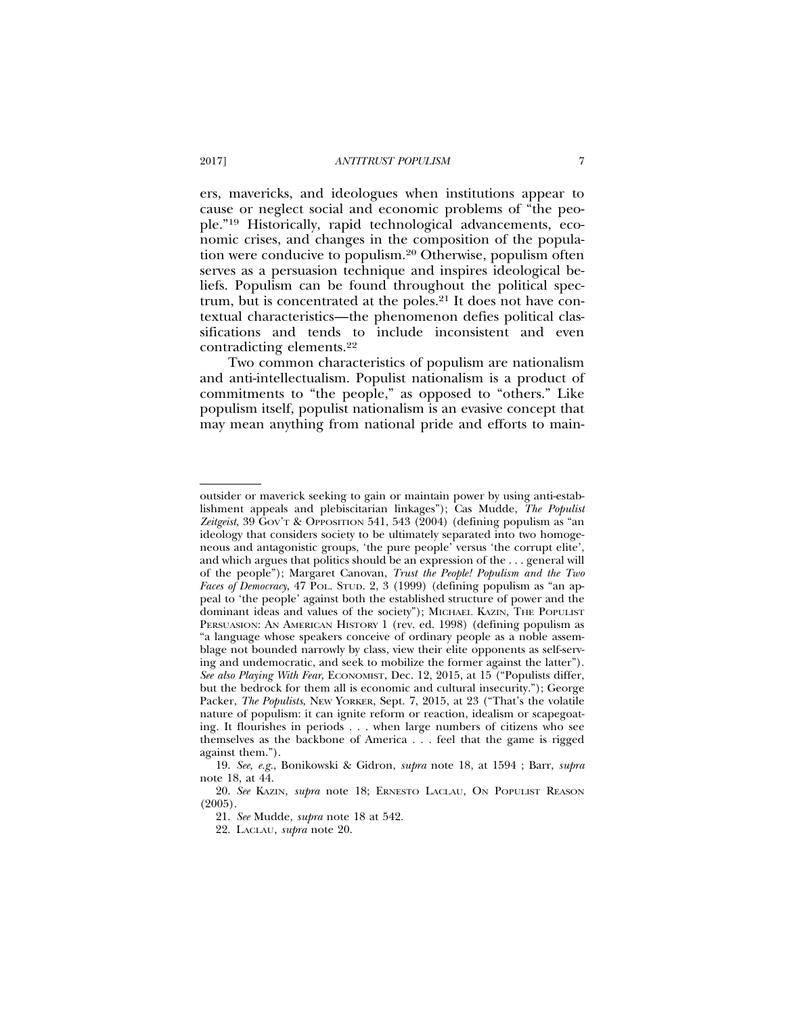ers, mavericks, and ideologues when institutions appear to cause or neglect social and economic problems of "the people."19 Historically, rapid technological advancements, economic crises, and changes in the composition of the population were conducive to populism.20 Otherwise, populism often serves as a persuasion technique and inspires ideological beliefs. Populism can be found throughout the political spectrum, but is concentrated at the poles.<sup>21</sup> It does not have contextual characteristics—the phenomenon defies political classifications and tends to include inconsistent and even contradicting elements.22

Two common characteristics of populism are nationalism and anti-intellectualism. Populist nationalism is a product of commitments to "the people," as opposed to "others." Like populism itself, populist nationalism is an evasive concept that may mean anything from national pride and efforts to main-

outsider or maverick seeking to gain or maintain power by using anti-establishment appeals and plebiscitarian linkages"); Cas Mudde, *The Populist Zeitgeist*, 39 GOV'T & OPPOSITION 541, 543 (2004) (defining populism as "an ideology that considers society to be ultimately separated into two homogeneous and antagonistic groups, 'the pure people' versus 'the corrupt elite', and which argues that politics should be an expression of the . . . general will of the people"); Margaret Canovan, *Trust the People! Populism and the Two Faces of Democracy*, 47 POL. STUD. 2, 3 (1999) (defining populism as "an appeal to 'the people' against both the established structure of power and the dominant ideas and values of the society"); MICHAEL KAZIN, THE POPULIST PERSUASION: AN AMERICAN HISTORY 1 (rev. ed. 1998) (defining populism as "a language whose speakers conceive of ordinary people as a noble assemblage not bounded narrowly by class, view their elite opponents as self-serving and undemocratic, and seek to mobilize the former against the latter"). *See also Playing With Fear*, ECONOMIST, Dec. 12, 2015, at 15 ("Populists differ, but the bedrock for them all is economic and cultural insecurity."); George Packer, *The Populists*, NEW YORKER, Sept. 7, 2015, at 23 ("That's the volatile nature of populism: it can ignite reform or reaction, idealism or scapegoating. It flourishes in periods . . . when large numbers of citizens who see themselves as the backbone of America . . . feel that the game is rigged against them.").

<sup>19.</sup> *See, e.g.*, Bonikowski & Gidron, *supra* note 18, at 1594 ; Barr, *supra* note 18, at 44.

<sup>20.</sup> *See* KAZIN, *supra* note 18; ERNESTO LACLAU, ON POPULIST REASON (2005).

<sup>21.</sup> *See* Mudde, *supra* note 18 at 542.

<sup>22.</sup> LACLAU, *supra* note 20.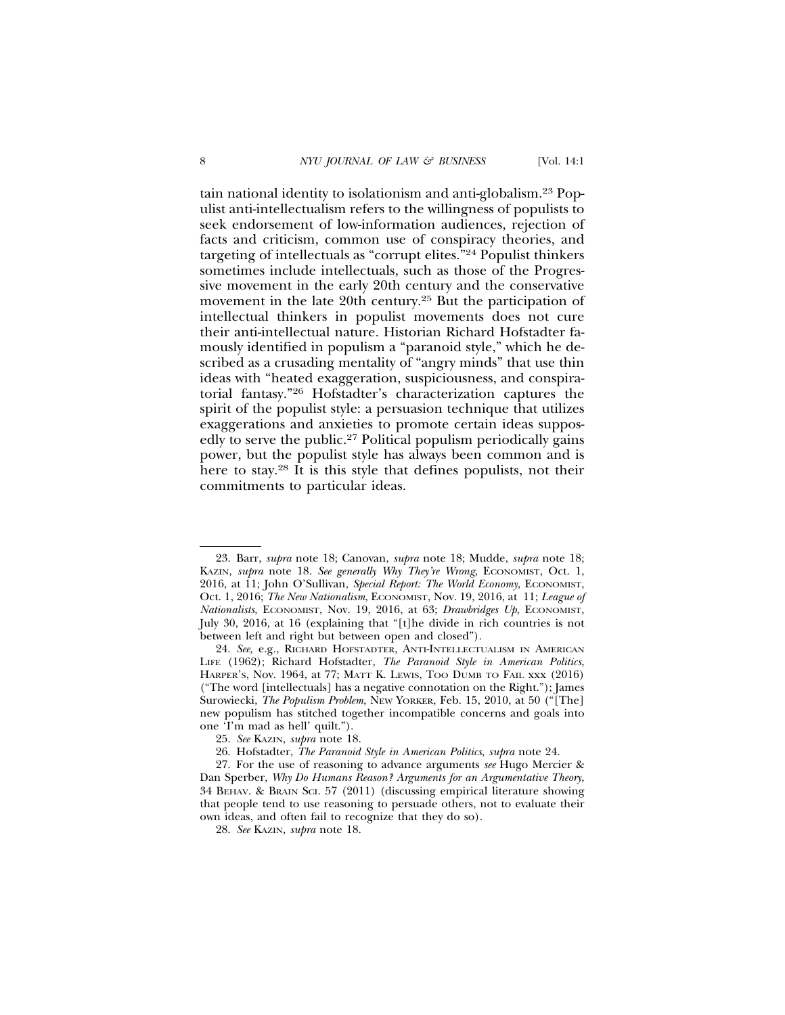tain national identity to isolationism and anti-globalism.23 Populist anti-intellectualism refers to the willingness of populists to seek endorsement of low-information audiences, rejection of facts and criticism, common use of conspiracy theories, and targeting of intellectuals as "corrupt elites."24 Populist thinkers sometimes include intellectuals, such as those of the Progressive movement in the early 20th century and the conservative movement in the late 20th century.<sup>25</sup> But the participation of intellectual thinkers in populist movements does not cure their anti-intellectual nature. Historian Richard Hofstadter famously identified in populism a "paranoid style," which he described as a crusading mentality of "angry minds" that use thin ideas with "heated exaggeration, suspiciousness, and conspiratorial fantasy."26 Hofstadter's characterization captures the spirit of the populist style: a persuasion technique that utilizes exaggerations and anxieties to promote certain ideas supposedly to serve the public.<sup>27</sup> Political populism periodically gains power, but the populist style has always been common and is here to stay.28 It is this style that defines populists, not their commitments to particular ideas.

<sup>23.</sup> Barr, *supra* note 18; Canovan, *supra* note 18; Mudde, *supra* note 18; KAZIN, *supra* note 18. *See generally Why They're Wrong*, ECONOMIST, Oct. 1, 2016, at 11; John O'Sullivan, *Special Report: The World Economy*, ECONOMIST, Oct. 1, 2016; *The New Nationalism*, ECONOMIST, Nov. 19, 2016, at 11; *League of Nationalists*, ECONOMIST, Nov. 19, 2016, at 63; *Drawbridges Up*, ECONOMIST, July 30, 2016, at 16 (explaining that "[t]he divide in rich countries is not between left and right but between open and closed").

<sup>24.</sup> *See,* e.g., RICHARD HOFSTADTER, ANTI-INTELLECTUALISM IN AMERICAN LIFE (1962); Richard Hofstadter, *The Paranoid Style in American Politics*, HARPER'S, Nov. 1964, at 77; MATT K. LEWIS, TOO DUMB TO FAIL xxx (2016) ("The word [intellectuals] has a negative connotation on the Right."); James Surowiecki, *The Populism Problem*, NEW YORKER, Feb. 15, 2010, at 50 ("[The] new populism has stitched together incompatible concerns and goals into one 'I'm mad as hell' quilt.").

<sup>25.</sup> *See* KAZIN, *supra* note 18.

<sup>26.</sup> Hofstadter, *The Paranoid Style in American Politics*, *supra* note 24.

<sup>27.</sup> For the use of reasoning to advance arguments *see* Hugo Mercier & Dan Sperber, *Why Do Humans Reason? Arguments for an Argumentative Theory*, 34 BEHAV. & BRAIN SCI. 57 (2011) (discussing empirical literature showing that people tend to use reasoning to persuade others, not to evaluate their own ideas, and often fail to recognize that they do so).

<sup>28.</sup> *See* KAZIN, *supra* note 18.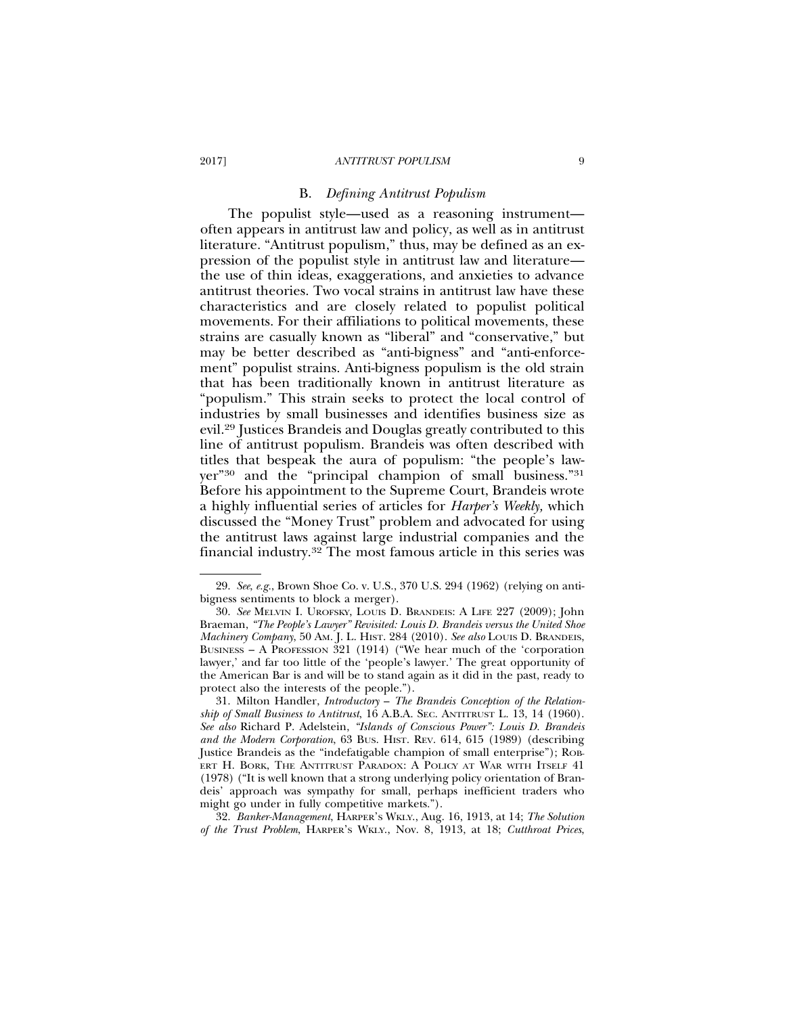#### 2017] *ANTITRUST POPULISM* 9

#### B. *Defining Antitrust Populism*

The populist style—used as a reasoning instrument often appears in antitrust law and policy, as well as in antitrust literature. "Antitrust populism," thus, may be defined as an expression of the populist style in antitrust law and literature the use of thin ideas, exaggerations, and anxieties to advance antitrust theories. Two vocal strains in antitrust law have these characteristics and are closely related to populist political movements. For their affiliations to political movements, these strains are casually known as "liberal" and "conservative," but may be better described as "anti-bigness" and "anti-enforcement" populist strains. Anti-bigness populism is the old strain that has been traditionally known in antitrust literature as "populism." This strain seeks to protect the local control of industries by small businesses and identifies business size as evil.29 Justices Brandeis and Douglas greatly contributed to this line of antitrust populism. Brandeis was often described with titles that bespeak the aura of populism: "the people's lawyer"30 and the "principal champion of small business."31 Before his appointment to the Supreme Court, Brandeis wrote a highly influential series of articles for *Harper's Weekly,* which discussed the "Money Trust" problem and advocated for using the antitrust laws against large industrial companies and the financial industry.32 The most famous article in this series was

32. *Banker-Management*, HARPER'S WKLY., Aug. 16, 1913, at 14; *The Solution of the Trust Problem*, HARPER'S WKLY., Nov. 8, 1913, at 18; *Cutthroat Prices*,

<sup>29.</sup> *See*, *e.g.*, Brown Shoe Co. v. U.S., 370 U.S. 294 (1962) (relying on antibigness sentiments to block a merger).

<sup>30.</sup> *See* MELVIN I. UROFSKY, LOUIS D. BRANDEIS: A LIFE 227 (2009); John Braeman, *"The People's Lawyer" Revisited: Louis D. Brandeis versus the United Shoe Machinery Company*, 50 AM. J. L. HIST. 284 (2010). *See also* LOUIS D. BRANDEIS, BUSINESS – A PROFESSION 321 (1914) ("We hear much of the 'corporation lawyer,' and far too little of the 'people's lawyer.' The great opportunity of the American Bar is and will be to stand again as it did in the past, ready to protect also the interests of the people.").

<sup>31.</sup> Milton Handler, *Introductory* – *The Brandeis Conception of the Relationship of Small Business to Antitrust*, 16 A.B.A. SEC. ANTITRUST L. 13, 14 (1960). *See also* Richard P. Adelstein, *"Islands of Conscious Power": Louis D. Brandeis and the Modern Corporation*, 63 BUS. HIST. REV. 614, 615 (1989) (describing Justice Brandeis as the "indefatigable champion of small enterprise"); ROB-ERT H. BORK, THE ANTITRUST PARADOX: A POLICY AT WAR WITH ITSELF 41 (1978) ("It is well known that a strong underlying policy orientation of Brandeis' approach was sympathy for small, perhaps inefficient traders who might go under in fully competitive markets.").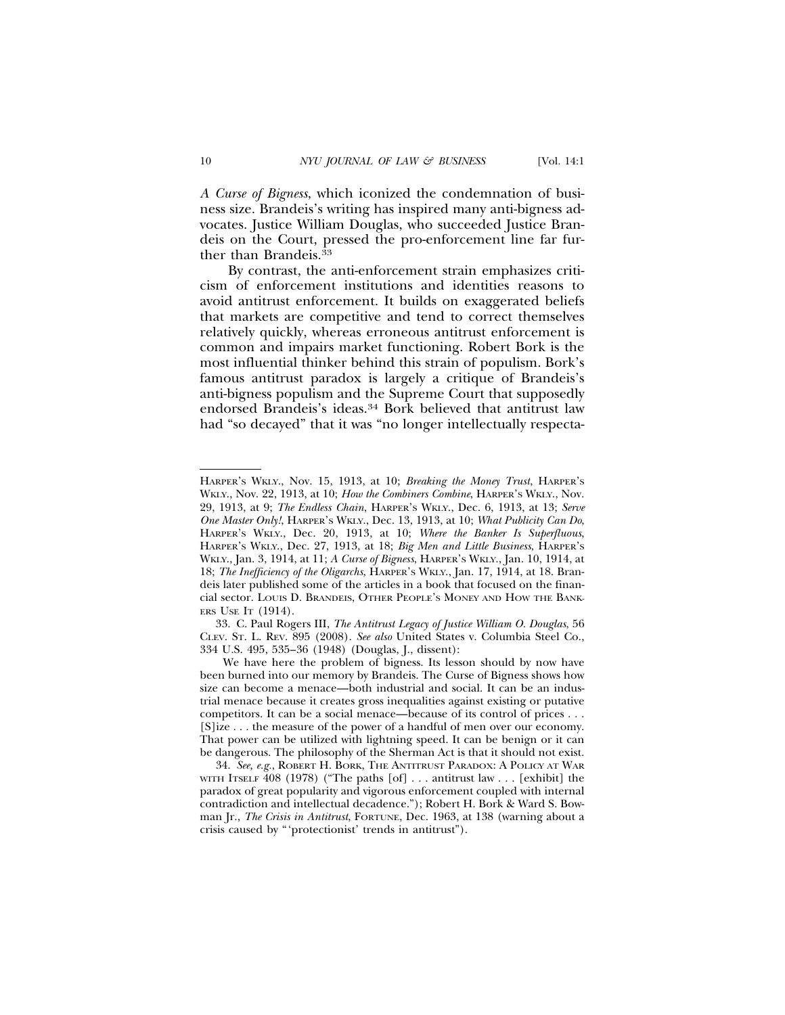*A Curse of Bigness*, which iconized the condemnation of business size. Brandeis's writing has inspired many anti-bigness advocates. Justice William Douglas, who succeeded Justice Brandeis on the Court, pressed the pro-enforcement line far further than Brandeis.<sup>33</sup>

By contrast, the anti-enforcement strain emphasizes criticism of enforcement institutions and identities reasons to avoid antitrust enforcement. It builds on exaggerated beliefs that markets are competitive and tend to correct themselves relatively quickly, whereas erroneous antitrust enforcement is common and impairs market functioning. Robert Bork is the most influential thinker behind this strain of populism. Bork's famous antitrust paradox is largely a critique of Brandeis's anti-bigness populism and the Supreme Court that supposedly endorsed Brandeis's ideas.<sup>34</sup> Bork believed that antitrust law had "so decayed" that it was "no longer intellectually respecta-

HARPER'S WKLY., Nov. 15, 1913, at 10; *Breaking the Money Trust*, HARPER'S WKLY., Nov. 22, 1913, at 10; *How the Combiners Combine*, HARPER'S WKLY., Nov. 29, 1913, at 9; *The Endless Chain*, HARPER'S WKLY., Dec. 6, 1913, at 13; *Serve One Master Only!*, HARPER'S WKLY., Dec. 13, 1913, at 10; *What Publicity Can Do*, HARPER'S WKLY., Dec. 20, 1913, at 10; *Where the Banker Is Superfluous*, HARPER'S WKLY., Dec. 27, 1913, at 18; *Big Men and Little Business*, HARPER'S WKLY., Jan. 3, 1914, at 11; *A Curse of Bigness*, HARPER'S WKLY., Jan. 10, 1914, at 18; *The Inefficiency of the Oligarchs*, HARPER'S WKLY., Jan. 17, 1914, at 18. Brandeis later published some of the articles in a book that focused on the financial sector. LOUIS D. BRANDEIS, OTHER PEOPLE'S MONEY AND HOW THE BANK-ERS USE IT (1914).

<sup>33.</sup> C. Paul Rogers III, *The Antitrust Legacy of Justice William O. Douglas*, 56 CLEV. ST. L. REV. 895 (2008). *See also* United States v. Columbia Steel Co., 334 U.S. 495, 535–36 (1948) (Douglas, J., dissent):

We have here the problem of bigness. Its lesson should by now have been burned into our memory by Brandeis. The Curse of Bigness shows how size can become a menace—both industrial and social. It can be an industrial menace because it creates gross inequalities against existing or putative competitors. It can be a social menace—because of its control of prices . . . [S]ize . . . the measure of the power of a handful of men over our economy. That power can be utilized with lightning speed. It can be benign or it can be dangerous. The philosophy of the Sherman Act is that it should not exist.

<sup>34.</sup> *See, e.g.*, ROBERT H. BORK, THE ANTITRUST PARADOX: A POLICY AT WAR WITH ITSELF  $\overline{408}$  (1978) ("The paths [of] ... antitrust law ... [exhibit] the paradox of great popularity and vigorous enforcement coupled with internal contradiction and intellectual decadence."); Robert H. Bork & Ward S. Bowman Jr., *The Crisis in Antitrust*, FORTUNE, Dec. 1963, at 138 (warning about a crisis caused by "'protectionist' trends in antitrust").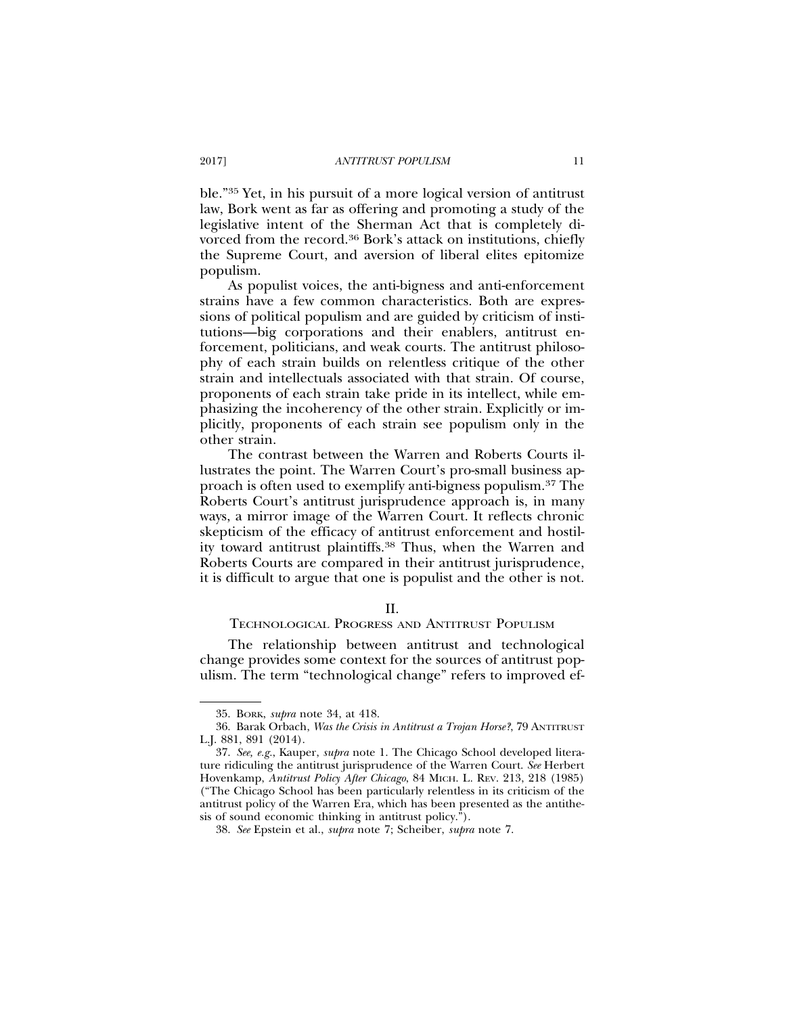ble."35 Yet, in his pursuit of a more logical version of antitrust law, Bork went as far as offering and promoting a study of the legislative intent of the Sherman Act that is completely divorced from the record.36 Bork's attack on institutions, chiefly the Supreme Court, and aversion of liberal elites epitomize populism.

As populist voices, the anti-bigness and anti-enforcement strains have a few common characteristics. Both are expressions of political populism and are guided by criticism of institutions—big corporations and their enablers, antitrust enforcement, politicians, and weak courts. The antitrust philosophy of each strain builds on relentless critique of the other strain and intellectuals associated with that strain. Of course, proponents of each strain take pride in its intellect, while emphasizing the incoherency of the other strain. Explicitly or implicitly, proponents of each strain see populism only in the other strain.

The contrast between the Warren and Roberts Courts illustrates the point. The Warren Court's pro-small business approach is often used to exemplify anti-bigness populism.37 The Roberts Court's antitrust jurisprudence approach is, in many ways, a mirror image of the Warren Court. It reflects chronic skepticism of the efficacy of antitrust enforcement and hostility toward antitrust plaintiffs.38 Thus, when the Warren and Roberts Courts are compared in their antitrust jurisprudence, it is difficult to argue that one is populist and the other is not.

# II.

#### TECHNOLOGICAL PROGRESS AND ANTITRUST POPULISM

The relationship between antitrust and technological change provides some context for the sources of antitrust populism. The term "technological change" refers to improved ef-

<sup>35.</sup> BORK, *supra* note 34, at 418.

<sup>36.</sup> Barak Orbach, *Was the Crisis in Antitrust a Trojan Horse?*, 79 ANTITRUST L.J. 881, 891 (2014).

<sup>37.</sup> *See, e.g.*, Kauper, *supra* note 1. The Chicago School developed literature ridiculing the antitrust jurisprudence of the Warren Court. *See* Herbert Hovenkamp, *Antitrust Policy After Chicago*, 84 MICH. L. REV. 213, 218 (1985) ("The Chicago School has been particularly relentless in its criticism of the antitrust policy of the Warren Era, which has been presented as the antithesis of sound economic thinking in antitrust policy.").

<sup>38.</sup> *See* Epstein et al., *supra* note 7; Scheiber, *supra* note 7.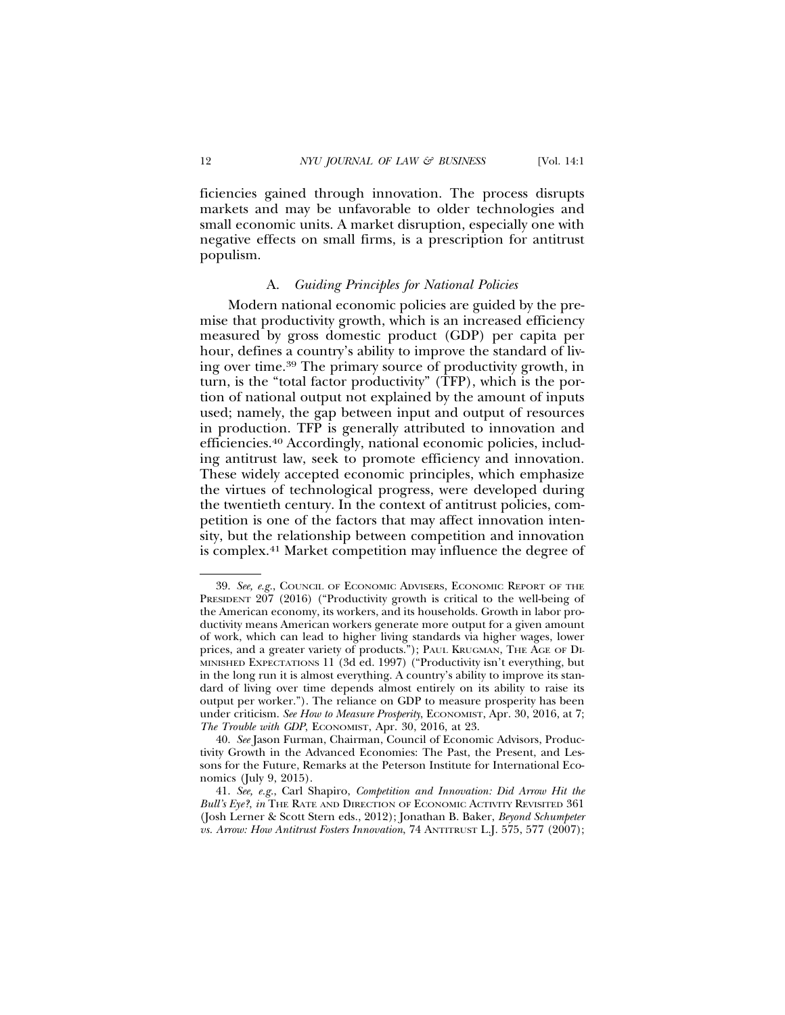ficiencies gained through innovation. The process disrupts markets and may be unfavorable to older technologies and small economic units. A market disruption, especially one with negative effects on small firms, is a prescription for antitrust populism.

#### A. *Guiding Principles for National Policies*

Modern national economic policies are guided by the premise that productivity growth, which is an increased efficiency measured by gross domestic product (GDP) per capita per hour, defines a country's ability to improve the standard of living over time.39 The primary source of productivity growth, in turn, is the "total factor productivity" (TFP), which is the portion of national output not explained by the amount of inputs used; namely, the gap between input and output of resources in production. TFP is generally attributed to innovation and efficiencies.40 Accordingly, national economic policies, including antitrust law, seek to promote efficiency and innovation. These widely accepted economic principles, which emphasize the virtues of technological progress, were developed during the twentieth century. In the context of antitrust policies, competition is one of the factors that may affect innovation intensity, but the relationship between competition and innovation is complex.41 Market competition may influence the degree of

<sup>39.</sup> *See, e.g.*, COUNCIL OF ECONOMIC ADVISERS, ECONOMIC REPORT OF THE PRESIDENT 207 (2016) ("Productivity growth is critical to the well-being of the American economy, its workers, and its households. Growth in labor productivity means American workers generate more output for a given amount of work, which can lead to higher living standards via higher wages, lower prices, and a greater variety of products."); PAUL KRUGMAN, THE AGE OF DI-MINISHED EXPECTATIONS 11 (3d ed. 1997) ("Productivity isn't everything, but in the long run it is almost everything. A country's ability to improve its standard of living over time depends almost entirely on its ability to raise its output per worker."). The reliance on GDP to measure prosperity has been under criticism. *See How to Measure Prosperity*, ECONOMIST, Apr. 30, 2016, at 7; *The Trouble with GDP*, ECONOMIST, Apr. 30, 2016, at 23.

<sup>40.</sup> *See* Jason Furman, Chairman, Council of Economic Advisors, Productivity Growth in the Advanced Economies: The Past, the Present, and Lessons for the Future, Remarks at the Peterson Institute for International Economics (July 9, 2015).

<sup>41.</sup> *See, e.g.*, Carl Shapiro, *Competition and Innovation: Did Arrow Hit the Bull's Eye?*, *in* THE RATE AND DIRECTION OF ECONOMIC ACTIVITY REVISITED 361 (Josh Lerner & Scott Stern eds., 2012); Jonathan B. Baker, *Beyond Schumpeter vs. Arrow: How Antitrust Fosters Innovation*, 74 ANTITRUST L.J. 575, 577 (2007);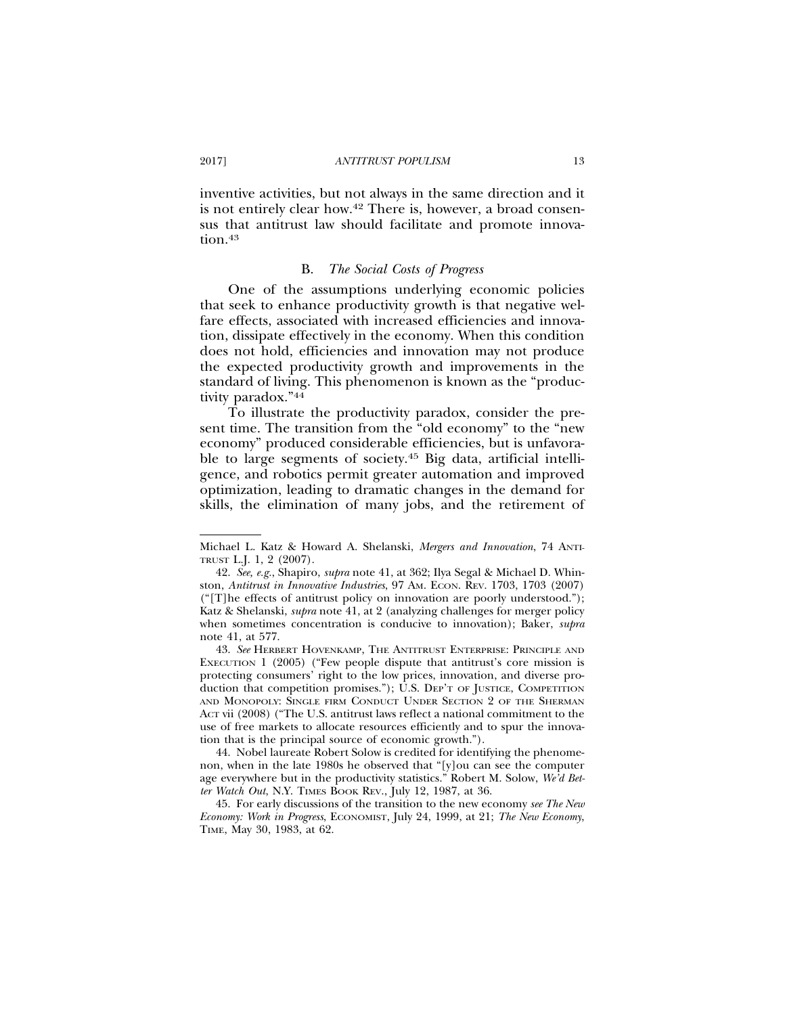inventive activities, but not always in the same direction and it is not entirely clear how.42 There is, however, a broad consensus that antitrust law should facilitate and promote innovation.<sup>43</sup>

#### B. *The Social Costs of Progress*

One of the assumptions underlying economic policies that seek to enhance productivity growth is that negative welfare effects, associated with increased efficiencies and innovation, dissipate effectively in the economy. When this condition does not hold, efficiencies and innovation may not produce the expected productivity growth and improvements in the standard of living. This phenomenon is known as the "productivity paradox."44

To illustrate the productivity paradox, consider the present time. The transition from the "old economy" to the "new economy" produced considerable efficiencies, but is unfavorable to large segments of society.45 Big data, artificial intelligence, and robotics permit greater automation and improved optimization, leading to dramatic changes in the demand for skills, the elimination of many jobs, and the retirement of

Michael L. Katz & Howard A. Shelanski, *Mergers and Innovation*, 74 ANTI-TRUST L.J. 1, 2 (2007).

<sup>42.</sup> *See, e.g.*, Shapiro, *supra* note 41, at 362; Ilya Segal & Michael D. Whinston, *Antitrust in Innovative Industries*, 97 AM. ECON. REV. 1703, 1703 (2007) ("[T]he effects of antitrust policy on innovation are poorly understood."); Katz & Shelanski, *supra* note 41, at 2 (analyzing challenges for merger policy when sometimes concentration is conducive to innovation); Baker, *supra* note 41, at 577.

<sup>43.</sup> *See* HERBERT HOVENKAMP, THE ANTITRUST ENTERPRISE: PRINCIPLE AND EXECUTION 1 (2005) ("Few people dispute that antitrust's core mission is protecting consumers' right to the low prices, innovation, and diverse production that competition promises."); U.S. DEP'T OF JUSTICE, COMPETITION AND MONOPOLY: SINGLE FIRM CONDUCT UNDER SECTION 2 OF THE SHERMAN ACT vii (2008) ("The U.S. antitrust laws reflect a national commitment to the use of free markets to allocate resources efficiently and to spur the innovation that is the principal source of economic growth.").

<sup>44.</sup> Nobel laureate Robert Solow is credited for identifying the phenomenon, when in the late 1980s he observed that "[y]ou can see the computer age everywhere but in the productivity statistics." Robert M. Solow, *We'd Better Watch Out*, N.Y. TIMES BOOK REV., July 12, 1987, at 36.

<sup>45.</sup> For early discussions of the transition to the new economy *see The New Economy: Work in Progress*, ECONOMIST, July 24, 1999, at 21; *The New Economy*, TIME, May 30, 1983, at 62.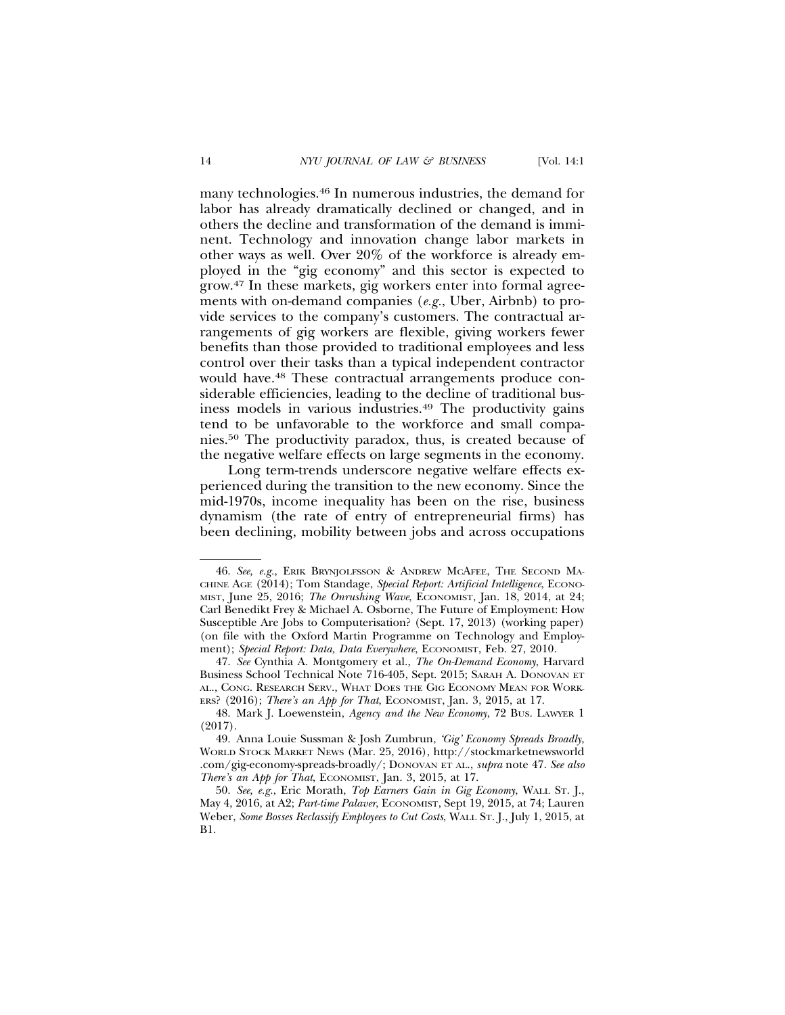many technologies.46 In numerous industries, the demand for labor has already dramatically declined or changed, and in others the decline and transformation of the demand is imminent. Technology and innovation change labor markets in other ways as well. Over 20% of the workforce is already employed in the "gig economy" and this sector is expected to grow.47 In these markets, gig workers enter into formal agreements with on-demand companies (*e.g.*, Uber, Airbnb) to provide services to the company's customers. The contractual arrangements of gig workers are flexible, giving workers fewer benefits than those provided to traditional employees and less control over their tasks than a typical independent contractor would have.48 These contractual arrangements produce considerable efficiencies, leading to the decline of traditional business models in various industries.49 The productivity gains tend to be unfavorable to the workforce and small companies.50 The productivity paradox, thus, is created because of the negative welfare effects on large segments in the economy.

Long term-trends underscore negative welfare effects experienced during the transition to the new economy. Since the mid-1970s, income inequality has been on the rise, business dynamism (the rate of entry of entrepreneurial firms) has been declining, mobility between jobs and across occupations

<sup>46.</sup> *See, e.g.*, ERIK BRYNJOLFSSON & ANDREW MCAFEE, THE SECOND MA-CHINE AGE (2014); Tom Standage, *Special Report: Artificial Intelligence*, ECONO-MIST, June 25, 2016; *The Onrushing Wave*, ECONOMIST, Jan. 18, 2014, at 24; Carl Benedikt Frey & Michael A. Osborne, The Future of Employment: How Susceptible Are Jobs to Computerisation? (Sept. 17, 2013) (working paper) (on file with the Oxford Martin Programme on Technology and Employment); *Special Report: Data, Data Everywhere*, ECONOMIST, Feb. 27, 2010.

<sup>47.</sup> *See* Cynthia A. Montgomery et al., *The On-Demand Economy*, Harvard Business School Technical Note 716-405, Sept. 2015; SARAH A. DONOVAN ET AL., CONG. RESEARCH SERV., WHAT DOES THE GIG ECONOMY MEAN FOR WORK-ERS? (2016); *There's an App for That*, ECONOMIST, Jan. 3, 2015, at 17.

<sup>48.</sup> Mark J. Loewenstein, *Agency and the New Economy*, 72 BUS. LAWYER 1 (2017).

<sup>49.</sup> Anna Louie Sussman & Josh Zumbrun, *'Gig' Economy Spreads Broadly*, WORLD STOCK MARKET NEWS (Mar. 25, 2016), http://stockmarketnewsworld .com/gig-economy-spreads-broadly/; DONOVAN ET AL., *supra* note 47. *See also There's an App for That*, ECONOMIST, Jan. 3, 2015, at 17.

<sup>50.</sup> *See, e.g.*, Eric Morath, *Top Earners Gain in Gig Economy*, WALL ST. J., May 4, 2016, at A2; *Part-time Palaver*, ECONOMIST, Sept 19, 2015, at 74; Lauren Weber, *Some Bosses Reclassify Employees to Cut Costs*, WALL ST. J., July 1, 2015, at B1.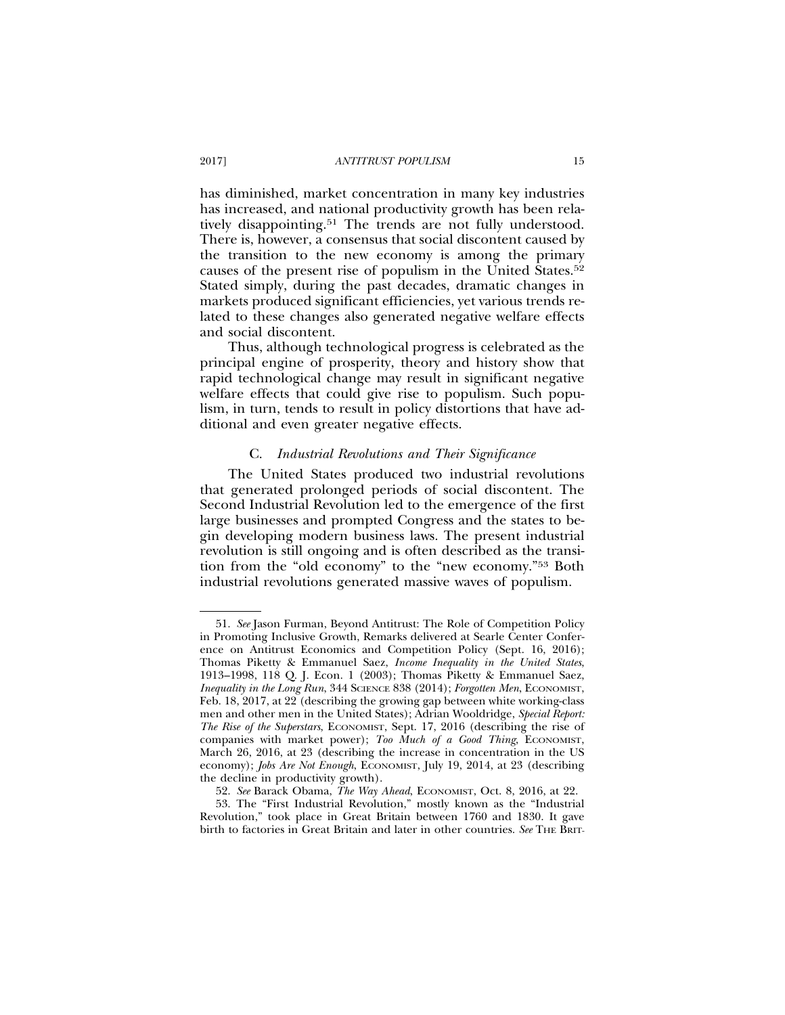has diminished, market concentration in many key industries has increased, and national productivity growth has been relatively disappointing.<sup>51</sup> The trends are not fully understood. There is, however, a consensus that social discontent caused by the transition to the new economy is among the primary causes of the present rise of populism in the United States.52 Stated simply, during the past decades, dramatic changes in markets produced significant efficiencies, yet various trends related to these changes also generated negative welfare effects and social discontent.

Thus, although technological progress is celebrated as the principal engine of prosperity, theory and history show that rapid technological change may result in significant negative welfare effects that could give rise to populism. Such populism, in turn, tends to result in policy distortions that have additional and even greater negative effects.

# C. *Industrial Revolutions and Their Significance*

The United States produced two industrial revolutions that generated prolonged periods of social discontent. The Second Industrial Revolution led to the emergence of the first large businesses and prompted Congress and the states to begin developing modern business laws. The present industrial revolution is still ongoing and is often described as the transition from the "old economy" to the "new economy."53 Both industrial revolutions generated massive waves of populism.

<sup>51.</sup> *See* Jason Furman, Beyond Antitrust: The Role of Competition Policy in Promoting Inclusive Growth, Remarks delivered at Searle Center Conference on Antitrust Economics and Competition Policy (Sept. 16, 2016); Thomas Piketty & Emmanuel Saez, *Income Inequality in the United States*, 1913–1998, 118 Q. J. Econ. 1 (2003); Thomas Piketty & Emmanuel Saez, *Inequality in the Long Run, 344 SCIENCE 838 (2014); Forgotten Men, ECONOMIST,* Feb. 18, 2017, at 22 (describing the growing gap between white working-class men and other men in the United States); Adrian Wooldridge, *Special Report: The Rise of the Superstars*, ECONOMIST, Sept. 17, 2016 (describing the rise of companies with market power); *Too Much of a Good Thing*, *ECONOMIST*, March 26, 2016, at 23 (describing the increase in concentration in the US economy); *Jobs Are Not Enough*, ECONOMIST, July 19, 2014, at 23 (describing the decline in productivity growth).

<sup>52.</sup> *See* Barack Obama, *The Way Ahead*, ECONOMIST, Oct. 8, 2016, at 22.

<sup>53.</sup> The "First Industrial Revolution," mostly known as the "Industrial Revolution," took place in Great Britain between 1760 and 1830. It gave birth to factories in Great Britain and later in other countries. *See* THE BRIT-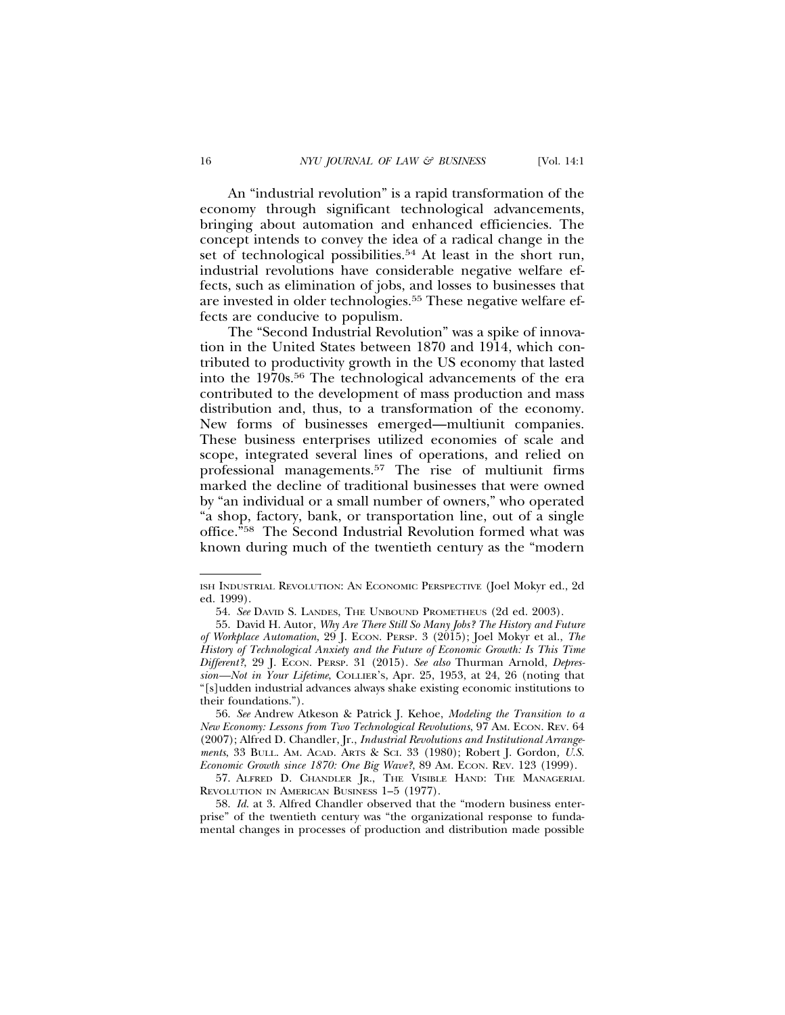An "industrial revolution" is a rapid transformation of the economy through significant technological advancements, bringing about automation and enhanced efficiencies. The concept intends to convey the idea of a radical change in the set of technological possibilities.<sup>54</sup> At least in the short run, industrial revolutions have considerable negative welfare effects, such as elimination of jobs, and losses to businesses that are invested in older technologies.55 These negative welfare effects are conducive to populism.

The "Second Industrial Revolution" was a spike of innovation in the United States between 1870 and 1914, which contributed to productivity growth in the US economy that lasted into the 1970s.56 The technological advancements of the era contributed to the development of mass production and mass distribution and, thus, to a transformation of the economy. New forms of businesses emerged—multiunit companies. These business enterprises utilized economies of scale and scope, integrated several lines of operations, and relied on professional managements.57 The rise of multiunit firms marked the decline of traditional businesses that were owned by "an individual or a small number of owners," who operated "a shop, factory, bank, or transportation line, out of a single office."58 The Second Industrial Revolution formed what was known during much of the twentieth century as the "modern

ISH INDUSTRIAL REVOLUTION: AN ECONOMIC PERSPECTIVE (Joel Mokyr ed., 2d ed. 1999).

<sup>54.</sup> *See* DAVID S. LANDES, THE UNBOUND PROMETHEUS (2d ed. 2003).

<sup>55.</sup> David H. Autor, *Why Are There Still So Many Jobs? The History and Future of Workplace Automation*, 29 J. ECON. PERSP. 3 (2015); Joel Mokyr et al., *The History of Technological Anxiety and the Future of Economic Growth: Is This Time Different?*, 29 J. ECON. PERSP. 31 (2015). *See also* Thurman Arnold, *Depression—Not in Your Lifetime*, COLLIER'S, Apr. 25, 1953, at 24, 26 (noting that "[s]udden industrial advances always shake existing economic institutions to their foundations.").

<sup>56.</sup> *See* Andrew Atkeson & Patrick J. Kehoe, *Modeling the Transition to a New Economy: Lessons from Two Technological Revolutions*, 97 AM. ECON. REV. 64 (2007); Alfred D. Chandler, Jr., *Industrial Revolutions and Institutional Arrangements*, 33 BULL. AM. ACAD. ARTS & SCI. 33 (1980); Robert J. Gordon*, U.S. Economic Growth since 1870: One Big Wave?*, 89 AM. ECON. REV. 123 (1999).

<sup>57.</sup> ALFRED D. CHANDLER JR., THE VISIBLE HAND: THE MANAGERIAL REVOLUTION IN AMERICAN BUSINESS 1–5 (1977).

<sup>58.</sup> *Id*. at 3. Alfred Chandler observed that the "modern business enterprise" of the twentieth century was "the organizational response to fundamental changes in processes of production and distribution made possible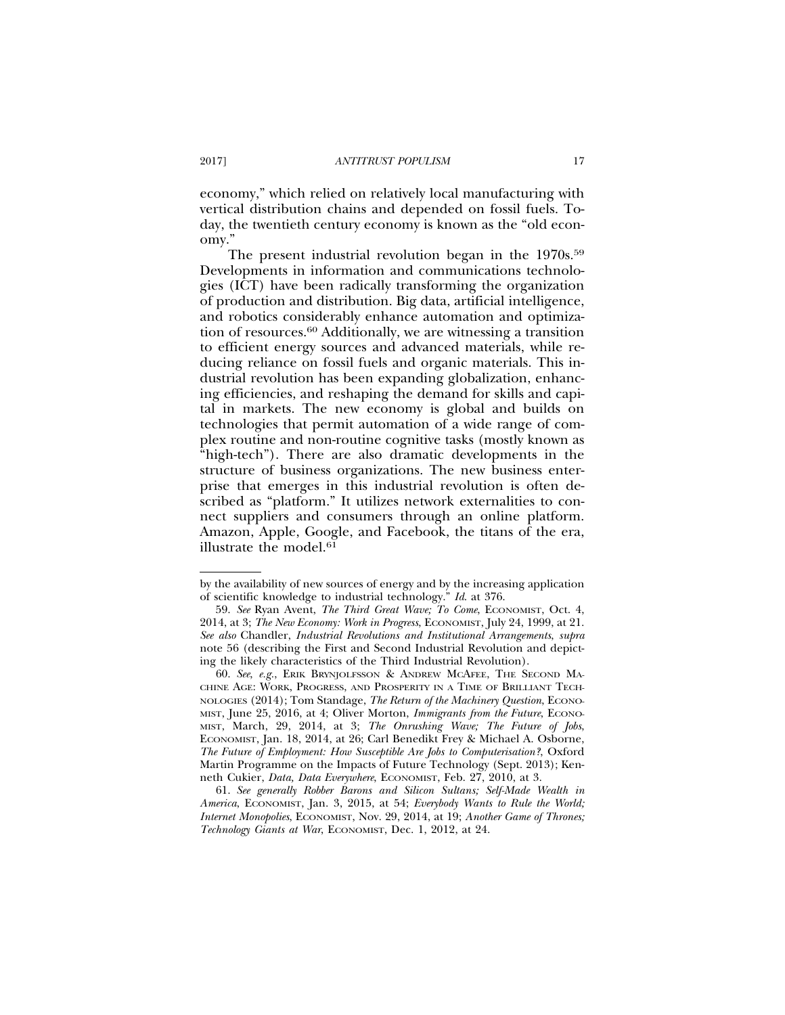economy," which relied on relatively local manufacturing with vertical distribution chains and depended on fossil fuels. Today, the twentieth century economy is known as the "old economy."

The present industrial revolution began in the 1970s.<sup>59</sup> Developments in information and communications technologies (ICT) have been radically transforming the organization of production and distribution. Big data, artificial intelligence, and robotics considerably enhance automation and optimization of resources.60 Additionally, we are witnessing a transition to efficient energy sources and advanced materials, while reducing reliance on fossil fuels and organic materials. This industrial revolution has been expanding globalization, enhancing efficiencies, and reshaping the demand for skills and capital in markets. The new economy is global and builds on technologies that permit automation of a wide range of complex routine and non-routine cognitive tasks (mostly known as "high-tech"). There are also dramatic developments in the structure of business organizations. The new business enterprise that emerges in this industrial revolution is often described as "platform." It utilizes network externalities to connect suppliers and consumers through an online platform. Amazon, Apple, Google, and Facebook, the titans of the era, illustrate the model.<sup>61</sup>

by the availability of new sources of energy and by the increasing application of scientific knowledge to industrial technology." *Id*. at 376.

<sup>59.</sup> *See* Ryan Avent, *The Third Great Wave; To Come*, ECONOMIST, Oct. 4, 2014, at 3; *The New Economy: Work in Progress*, ECONOMIST, July 24, 1999, at 21. *See also* Chandler, *Industrial Revolutions and Institutional Arrangements*, *supra* note 56 (describing the First and Second Industrial Revolution and depicting the likely characteristics of the Third Industrial Revolution).

<sup>60.</sup> *See*, *e.g.*, ERIK BRYNJOLFSSON & ANDREW MCAFEE, THE SECOND MA-CHINE AGE: WORK, PROGRESS, AND PROSPERITY IN A TIME OF BRILLIANT TECH-NOLOGIES (2014); Tom Standage, *The Return of the Machinery Question*, ECONO-MIST, June 25, 2016, at 4; Oliver Morton, *Immigrants from the Future*, ECONO-MIST, March, 29, 2014, at 3; *The Onrushing Wave; The Future of Jobs*, ECONOMIST, Jan. 18, 2014, at 26; Carl Benedikt Frey & Michael A. Osborne, *The Future of Employment: How Susceptible Are Jobs to Computerisation?*, Oxford Martin Programme on the Impacts of Future Technology (Sept. 2013); Kenneth Cukier, *Data, Data Everywhere*, ECONOMIST, Feb. 27, 2010, at 3.

<sup>61.</sup> *See generally Robber Barons and Silicon Sultans; Self-Made Wealth in America*, ECONOMIST, Jan. 3, 2015, at 54; *Everybody Wants to Rule the World; Internet Monopolies*, ECONOMIST, Nov. 29, 2014, at 19; *Another Game of Thrones; Technology Giants at War*, ECONOMIST, Dec. 1, 2012, at 24.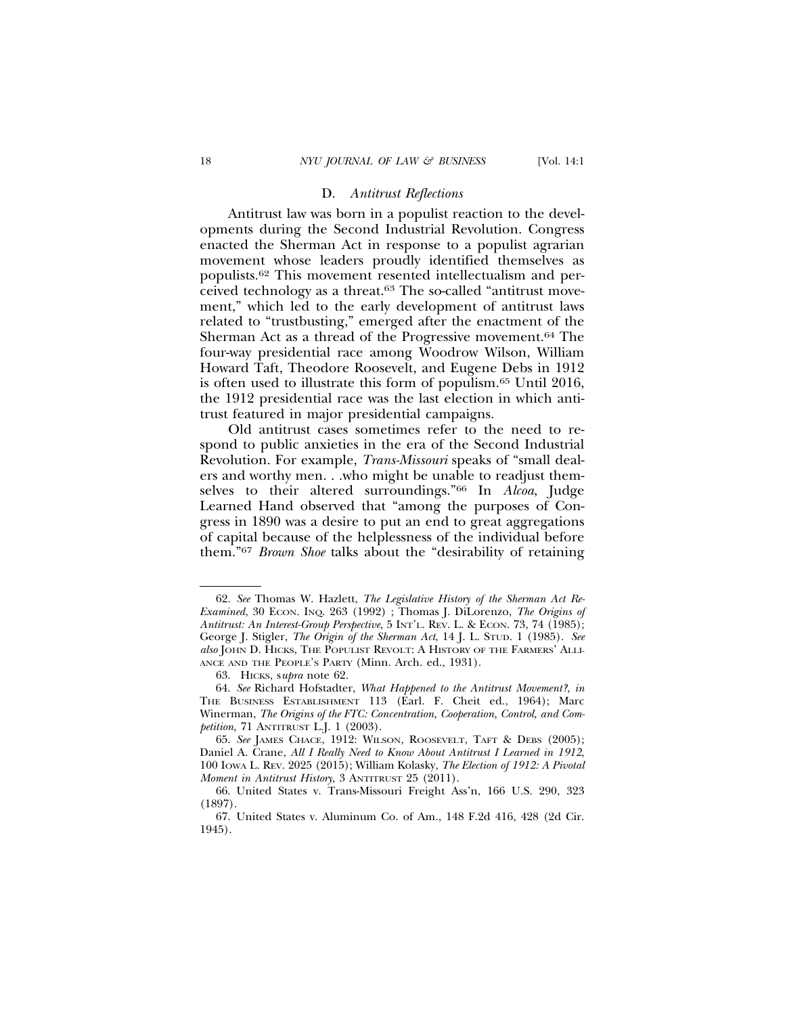## D. *Antitrust Reflections*

Antitrust law was born in a populist reaction to the developments during the Second Industrial Revolution. Congress enacted the Sherman Act in response to a populist agrarian movement whose leaders proudly identified themselves as populists.62 This movement resented intellectualism and perceived technology as a threat.63 The so-called "antitrust movement," which led to the early development of antitrust laws related to "trustbusting," emerged after the enactment of the Sherman Act as a thread of the Progressive movement.64 The four-way presidential race among Woodrow Wilson, William Howard Taft, Theodore Roosevelt, and Eugene Debs in 1912 is often used to illustrate this form of populism.65 Until 2016, the 1912 presidential race was the last election in which antitrust featured in major presidential campaigns.

Old antitrust cases sometimes refer to the need to respond to public anxieties in the era of the Second Industrial Revolution. For example, *Trans-Missouri* speaks of "small dealers and worthy men. . .who might be unable to readjust themselves to their altered surroundings."66 In *Alcoa*, Judge Learned Hand observed that "among the purposes of Congress in 1890 was a desire to put an end to great aggregations of capital because of the helplessness of the individual before them."67 *Brown Shoe* talks about the "desirability of retaining

<sup>62.</sup> *See* Thomas W. Hazlett, *The Legislative History of the Sherman Act Re-Examined*, 30 ECON. INQ. 263 (1992) ; Thomas J. DiLorenzo, *The Origins of Antitrust: An Interest-Group Perspective*, 5 INT'L. REV. L. & ECON. 73, 74 (1985); George J. Stigler, *The Origin of the Sherman Act*, 14 J. L. STUD. 1 (1985). *See also* JOHN D. HICKS, THE POPULIST REVOLT: A HISTORY OF THE FARMERS' ALLI-ANCE AND THE PEOPLE'S PARTY (Minn. Arch. ed., 1931).

<sup>63.</sup> HICKS, s*upra* note 62.

<sup>64.</sup> *See* Richard Hofstadter, *What Happened to the Antitrust Movement?*, *in* THE BUSINESS ESTABLISHMENT 113 (Earl. F. Cheit ed., 1964); Marc Winerman, *The Origins of the FTC: Concentration, Cooperation, Control, and Competition*, 71 ANTITRUST L.J. 1 (2003).

<sup>65.</sup> *See* JAMES CHACE, 1912: WILSON, ROOSEVELT, TAFT & DEBS (2005); Daniel A. Crane, *All I Really Need to Know About Antitrust I Learned in 1912*, 100 IOWA L. REV. 2025 (2015); William Kolasky, *The Election of 1912: A Pivotal Moment in Antitrust History*, 3 ANTITRUST 25 (2011).

<sup>66.</sup> United States v. Trans-Missouri Freight Ass'n, 166 U.S. 290, 323 (1897).

<sup>67.</sup> United States v. Aluminum Co. of Am., 148 F.2d 416, 428 (2d Cir. 1945).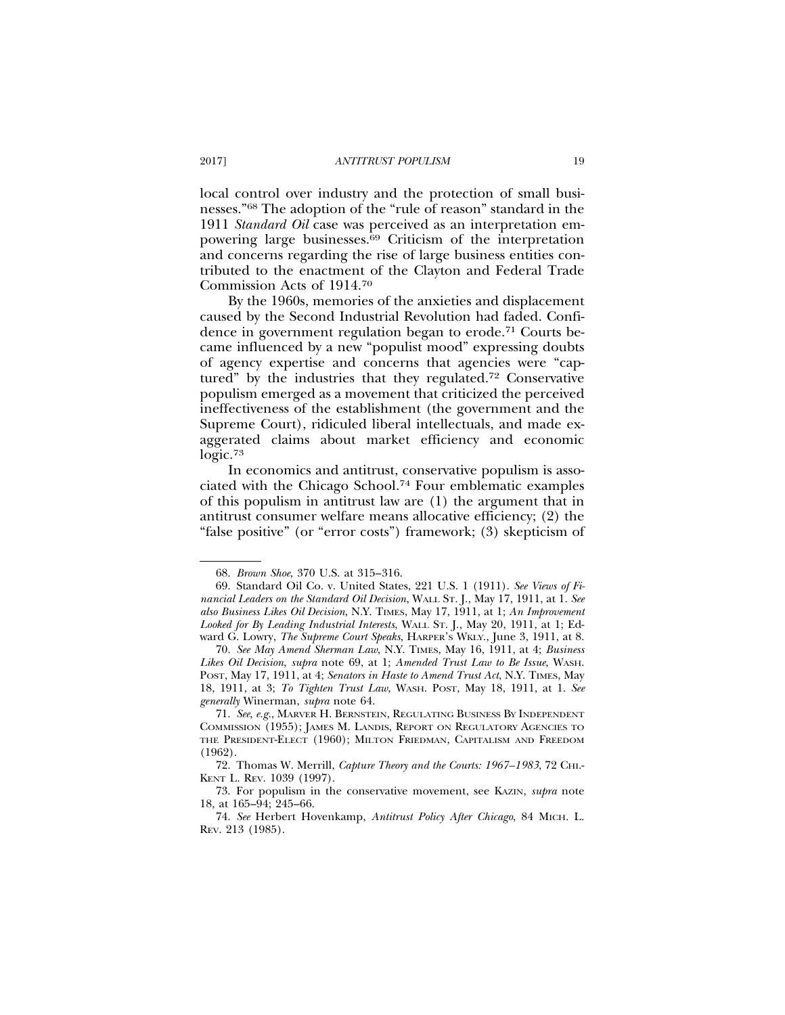local control over industry and the protection of small businesses."68 The adoption of the "rule of reason" standard in the 1911 *Standard Oil* case was perceived as an interpretation empowering large businesses.69 Criticism of the interpretation and concerns regarding the rise of large business entities contributed to the enactment of the Clayton and Federal Trade Commission Acts of 1914.70

By the 1960s, memories of the anxieties and displacement caused by the Second Industrial Revolution had faded. Confidence in government regulation began to erode.71 Courts became influenced by a new "populist mood" expressing doubts of agency expertise and concerns that agencies were "captured" by the industries that they regulated.72 Conservative populism emerged as a movement that criticized the perceived ineffectiveness of the establishment (the government and the Supreme Court), ridiculed liberal intellectuals, and made exaggerated claims about market efficiency and economic logic.73

In economics and antitrust, conservative populism is associated with the Chicago School.74 Four emblematic examples of this populism in antitrust law are (1) the argument that in antitrust consumer welfare means allocative efficiency; (2) the "false positive" (or "error costs") framework; (3) skepticism of

<sup>68.</sup> *Brown Shoe*, 370 U.S. at 315–316.

<sup>69.</sup> Standard Oil Co. v. United States, 221 U.S. 1 (1911). *See Views of Financial Leaders on the Standard Oil Decision*, WALL ST. J., May 17, 1911, at 1. *See also Business Likes Oil Decision*, N.Y. TIMES, May 17, 1911, at 1; *An Improvement Looked for By Leading Industrial Interests*, WALL ST. J., May 20, 1911, at 1; Edward G. Lowry, *The Supreme Court Speaks*, HARPER'S WKLY., June 3, 1911, at 8.

<sup>70.</sup> *See May Amend Sherman Law*, N.Y. TIMES, May 16, 1911, at 4; *Business Likes Oil Decision*, *supra* note 69, at 1; *Amended Trust Law to Be Issue*, WASH. POST, May 17, 1911, at 4; *Senators in Haste to Amend Trust Act*, N.Y. TIMES, May 18, 1911, at 3; *To Tighten Trust Law*, WASH. POST, May 18, 1911, at 1. *See generally* Winerman, *supra* note 64.

<sup>71.</sup> *See*, *e.g.*, MARVER H. BERNSTEIN, REGULATING BUSINESS BY INDEPENDENT COMMISSION (1955); JAMES M. LANDIS, REPORT ON REGULATORY AGENCIES TO THE PRESIDENT-ELECT (1960); MILTON FRIEDMAN, CAPITALISM AND FREEDOM (1962).

<sup>72.</sup> Thomas W. Merrill, *Capture Theory and the Courts: 1967–1983*, 72 CHI.- KENT L. REV. 1039 (1997).

<sup>73.</sup> For populism in the conservative movement, see KAZIN, *supra* note 18, at 165–94; 245–66.

<sup>74.</sup> *See* Herbert Hovenkamp, *Antitrust Policy After Chicago*, 84 MICH. L. REV. 213 (1985).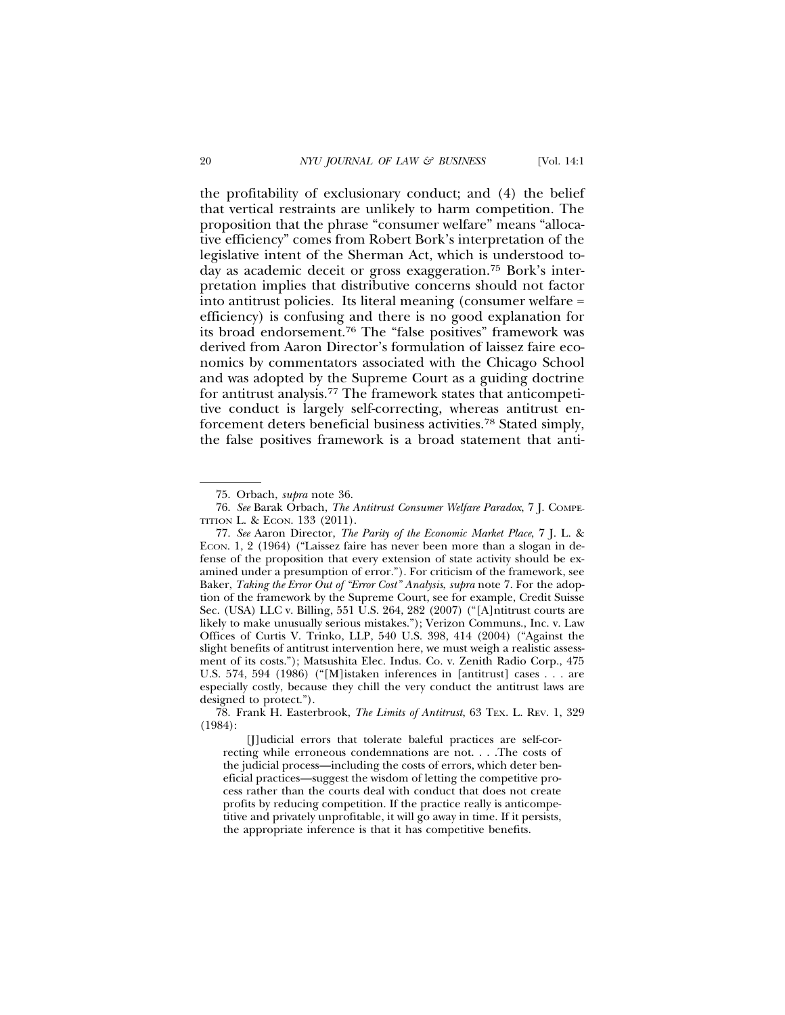the profitability of exclusionary conduct; and (4) the belief that vertical restraints are unlikely to harm competition. The proposition that the phrase "consumer welfare" means "allocative efficiency" comes from Robert Bork's interpretation of the legislative intent of the Sherman Act, which is understood today as academic deceit or gross exaggeration.75 Bork's interpretation implies that distributive concerns should not factor into antitrust policies. Its literal meaning (consumer welfare = efficiency) is confusing and there is no good explanation for its broad endorsement.76 The "false positives" framework was derived from Aaron Director's formulation of laissez faire economics by commentators associated with the Chicago School and was adopted by the Supreme Court as a guiding doctrine for antitrust analysis.77 The framework states that anticompetitive conduct is largely self-correcting, whereas antitrust enforcement deters beneficial business activities.78 Stated simply, the false positives framework is a broad statement that anti-

<sup>75.</sup> Orbach, *supra* note 36.

<sup>76.</sup> *See* Barak Orbach, *The Antitrust Consumer Welfare Paradox*, 7 J. COMPE-TITION L. & ECON. 133 (2011).

<sup>77.</sup> *See* Aaron Director, *The Parity of the Economic Market Place*, 7 J. L. & ECON. 1, 2 (1964) ("Laissez faire has never been more than a slogan in defense of the proposition that every extension of state activity should be examined under a presumption of error."). For criticism of the framework, see Baker, *Taking the Error Out of "Error Cost" Analysis*, *supra* note 7. For the adoption of the framework by the Supreme Court, see for example, Credit Suisse Sec. (USA) LLC v. Billing, 551 U.S. 264, 282 (2007) ("[A]ntitrust courts are likely to make unusually serious mistakes."); Verizon Communs., Inc. v. Law Offices of Curtis V. Trinko, LLP, 540 U.S. 398, 414 (2004) ("Against the slight benefits of antitrust intervention here, we must weigh a realistic assessment of its costs."); Matsushita Elec. Indus. Co. v. Zenith Radio Corp., 475 U.S. 574, 594 (1986) ("[M]istaken inferences in [antitrust] cases . . . are especially costly, because they chill the very conduct the antitrust laws are designed to protect.").

<sup>78.</sup> Frank H. Easterbrook, *The Limits of Antitrust*, 63 TEX. L. REV. 1, 329 (1984):

<sup>[</sup>J]udicial errors that tolerate baleful practices are self-correcting while erroneous condemnations are not. . . .The costs of the judicial process—including the costs of errors, which deter beneficial practices—suggest the wisdom of letting the competitive process rather than the courts deal with conduct that does not create profits by reducing competition. If the practice really is anticompetitive and privately unprofitable, it will go away in time. If it persists, the appropriate inference is that it has competitive benefits.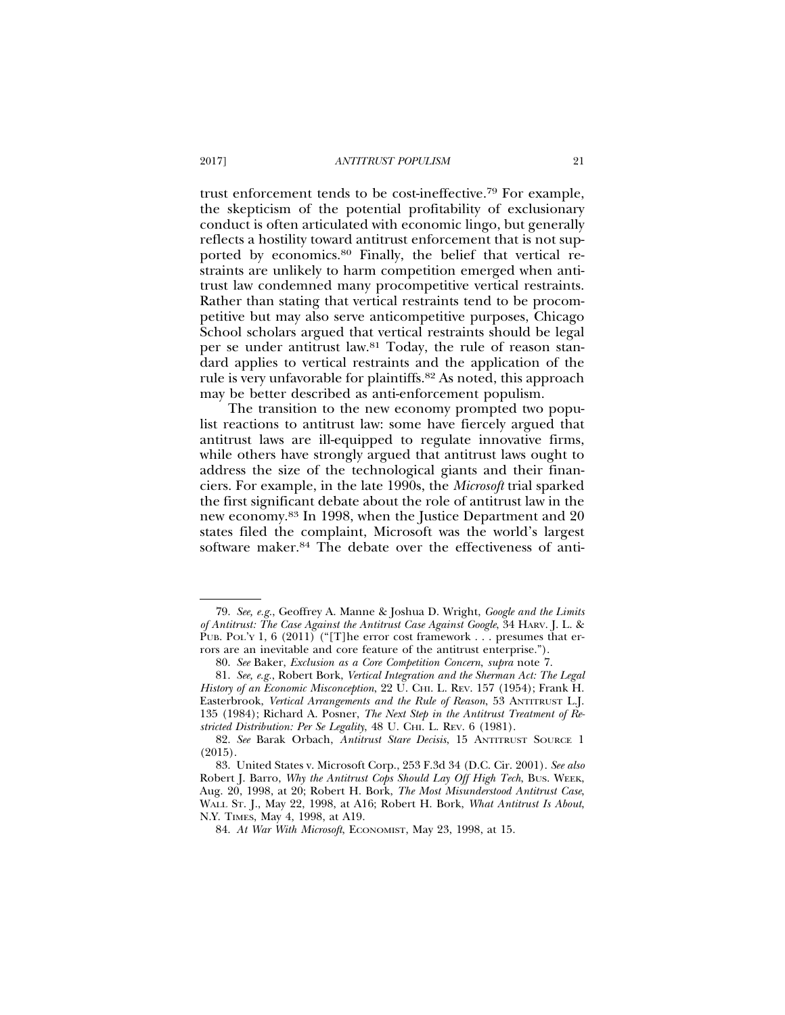trust enforcement tends to be cost-ineffective.79 For example, the skepticism of the potential profitability of exclusionary conduct is often articulated with economic lingo, but generally reflects a hostility toward antitrust enforcement that is not supported by economics.80 Finally, the belief that vertical restraints are unlikely to harm competition emerged when antitrust law condemned many procompetitive vertical restraints. Rather than stating that vertical restraints tend to be procompetitive but may also serve anticompetitive purposes, Chicago School scholars argued that vertical restraints should be legal per se under antitrust law.81 Today, the rule of reason standard applies to vertical restraints and the application of the rule is very unfavorable for plaintiffs.82 As noted, this approach may be better described as anti-enforcement populism.

The transition to the new economy prompted two populist reactions to antitrust law: some have fiercely argued that antitrust laws are ill-equipped to regulate innovative firms, while others have strongly argued that antitrust laws ought to address the size of the technological giants and their financiers. For example, in the late 1990s, the *Microsoft* trial sparked the first significant debate about the role of antitrust law in the new economy.83 In 1998, when the Justice Department and 20 states filed the complaint, Microsoft was the world's largest software maker.84 The debate over the effectiveness of anti-

<sup>79.</sup> *See, e.g.*, Geoffrey A. Manne & Joshua D. Wright, *Google and the Limits of Antitrust: The Case Against the Antitrust Case Against Google*, 34 HARV. J. L. & PUB. POL'Y 1, 6 (2011) ("[T]he error cost framework . . . presumes that errors are an inevitable and core feature of the antitrust enterprise.").

<sup>80.</sup> *See* Baker, *Exclusion as a Core Competition Concern*, *supra* note 7.

<sup>81.</sup> *See, e.g.*, Robert Bork, *Vertical Integration and the Sherman Act: The Legal History of an Economic Misconception*, 22 U. CHI. L. REV. 157 (1954); Frank H. Easterbrook, *Vertical Arrangements and the Rule of Reason*, 53 ANTITRUST L.J. 135 (1984); Richard A. Posner, *The Next Step in the Antitrust Treatment of Restricted Distribution: Per Se Legality*, 48 U. CHI. L. REV. 6 (1981).

<sup>82.</sup> *See* Barak Orbach, *Antitrust Stare Decisis*, 15 ANTITRUST SOURCE 1 (2015).

<sup>83.</sup> United States v. Microsoft Corp., 253 F.3d 34 (D.C. Cir. 2001). *See also* Robert J. Barro, *Why the Antitrust Cops Should Lay Off High Tech*, BUS. WEEK, Aug. 20, 1998, at 20; Robert H. Bork, *The Most Misunderstood Antitrust Case*, WALL ST. J., May 22, 1998, at A16; Robert H. Bork, *What Antitrust Is About*, N.Y. TIMES, May 4, 1998, at A19.

<sup>84.</sup> *At War With Microsoft*, ECONOMIST, May 23, 1998, at 15.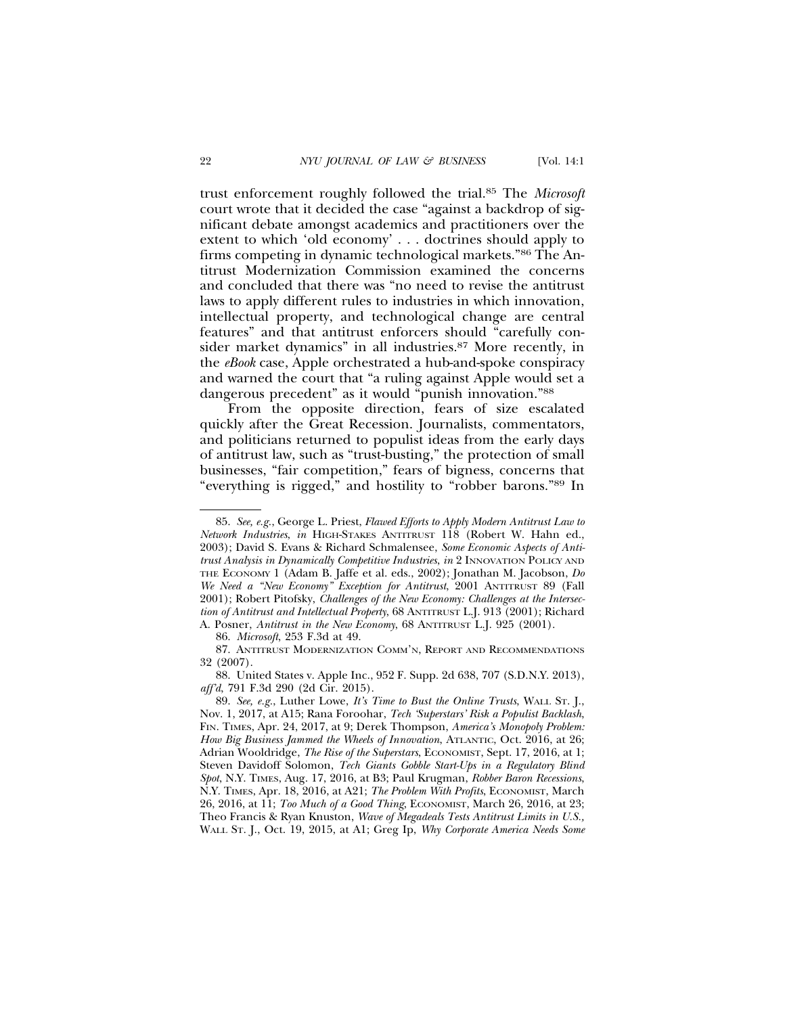trust enforcement roughly followed the trial.85 The *Microsoft* court wrote that it decided the case "against a backdrop of significant debate amongst academics and practitioners over the extent to which 'old economy' . . . doctrines should apply to firms competing in dynamic technological markets."86 The Antitrust Modernization Commission examined the concerns and concluded that there was "no need to revise the antitrust laws to apply different rules to industries in which innovation, intellectual property, and technological change are central features" and that antitrust enforcers should "carefully consider market dynamics" in all industries.<sup>87</sup> More recently, in the *eBook* case, Apple orchestrated a hub-and-spoke conspiracy and warned the court that "a ruling against Apple would set a dangerous precedent" as it would "punish innovation."88

From the opposite direction, fears of size escalated quickly after the Great Recession. Journalists, commentators, and politicians returned to populist ideas from the early days of antitrust law, such as "trust-busting," the protection of small businesses, "fair competition," fears of bigness, concerns that "everything is rigged," and hostility to "robber barons."89 In

86. *Microsoft*, 253 F.3d at 49.

87. ANTITRUST MODERNIZATION COMM'N, REPORT AND RECOMMENDATIONS 32 (2007).

88. United States v. Apple Inc., 952 F. Supp. 2d 638, 707 (S.D.N.Y. 2013), *aff'd*, 791 F.3d 290 (2d Cir. 2015).

<sup>85.</sup> *See, e.g.*, George L. Priest, *Flawed Efforts to Apply Modern Antitrust Law to Network Industries*, *in* HIGH-STAKES ANTITRUST 118 (Robert W. Hahn ed., 2003); David S. Evans & Richard Schmalensee, *Some Economic Aspects of Antitrust Analysis in Dynamically Competitive Industries*, *in* 2 INNOVATION POLICY AND THE ECONOMY 1 (Adam B. Jaffe et al. eds., 2002); Jonathan M. Jacobson, *Do We Need a "New Economy" Exception for Antitrust*, 2001 ANTITRUST 89 (Fall 2001); Robert Pitofsky, *Challenges of the New Economy: Challenges at the Intersection of Antitrust and Intellectual Property*, 68 ANTITRUST L.J. 913 (2001); Richard A. Posner, *Antitrust in the New Economy*, 68 ANTITRUST L.J. 925 (2001).

<sup>89.</sup> *See, e.g.*, Luther Lowe, *It's Time to Bust the Online Trusts*, WALL ST. J., Nov. 1, 2017, at A15; Rana Foroohar, *Tech 'Superstars' Risk a Populist Backlash*, FIN. TIMES, Apr. 24, 2017, at 9; Derek Thompson, *America's Monopoly Problem: How Big Business Jammed the Wheels of Innovation*, ATLANTIC, Oct. 2016, at 26; Adrian Wooldridge, *The Rise of the Superstars*, ECONOMIST, Sept. 17, 2016, at 1; Steven Davidoff Solomon, *Tech Giants Gobble Start-Ups in a Regulatory Blind Spot*, N.Y. TIMES, Aug. 17, 2016, at B3; Paul Krugman, *Robber Baron Recessions*, N.Y. TIMES, Apr. 18, 2016, at A21; *The Problem With Profits*, ECONOMIST, March 26, 2016, at 11; *Too Much of a Good Thing*, ECONOMIST, March 26, 2016, at 23; Theo Francis & Ryan Knuston, *Wave of Megadeals Tests Antitrust Limits in U.S.,* WALL ST. J., Oct. 19, 2015, at A1; Greg Ip, *Why Corporate America Needs Some*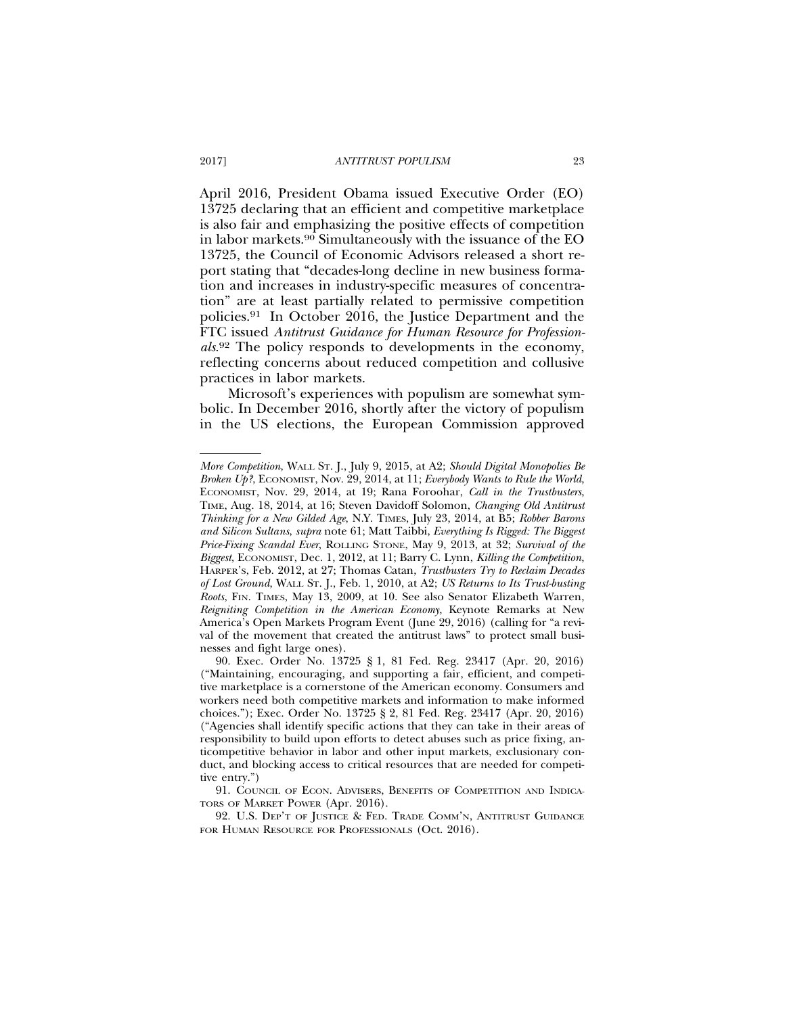April 2016, President Obama issued Executive Order (EO) 13725 declaring that an efficient and competitive marketplace is also fair and emphasizing the positive effects of competition in labor markets.90 Simultaneously with the issuance of the EO 13725, the Council of Economic Advisors released a short report stating that "decades-long decline in new business formation and increases in industry-specific measures of concentration" are at least partially related to permissive competition policies.91 In October 2016, the Justice Department and the FTC issued *Antitrust Guidance for Human Resource for Professionals*. 92 The policy responds to developments in the economy, reflecting concerns about reduced competition and collusive practices in labor markets.

Microsoft's experiences with populism are somewhat symbolic. In December 2016, shortly after the victory of populism in the US elections, the European Commission approved

*More Competition*, WALL ST. J., July 9, 2015, at A2; *Should Digital Monopolies Be Broken Up?*, ECONOMIST, Nov. 29, 2014, at 11; *Everybody Wants to Rule the World*, ECONOMIST, Nov. 29, 2014, at 19; Rana Foroohar, *Call in the Trustbusters*, TIME, Aug. 18, 2014, at 16; Steven Davidoff Solomon, *Changing Old Antitrust Thinking for a New Gilded Age*, N.Y. TIMES, July 23, 2014, at B5; *Robber Barons and Silicon Sultans*, *supra* note 61; Matt Taibbi, *Everything Is Rigged: The Biggest Price-Fixing Scandal Ever*, ROLLING STONE, May 9, 2013, at 32; *Survival of the Biggest*, ECONOMIST, Dec. 1, 2012, at 11; Barry C. Lynn, *Killing the Competition*, HARPER'S, Feb. 2012, at 27; Thomas Catan, *Trustbusters Try to Reclaim Decades of Lost Ground*, WALL ST. J., Feb. 1, 2010, at A2; *US Returns to Its Trust-busting Roots*, FIN. TIMES, May 13, 2009, at 10. See also Senator Elizabeth Warren, *Reigniting Competition in the American Economy*, Keynote Remarks at New America's Open Markets Program Event (June 29, 2016) (calling for "a revival of the movement that created the antitrust laws" to protect small businesses and fight large ones).

<sup>90.</sup> Exec. Order No. 13725 § 1, 81 Fed. Reg. 23417 (Apr. 20, 2016) ("Maintaining, encouraging, and supporting a fair, efficient, and competitive marketplace is a cornerstone of the American economy. Consumers and workers need both competitive markets and information to make informed choices."); Exec. Order No. 13725 § 2, 81 Fed. Reg. 23417 (Apr. 20, 2016) ("Agencies shall identify specific actions that they can take in their areas of responsibility to build upon efforts to detect abuses such as price fixing, anticompetitive behavior in labor and other input markets, exclusionary conduct, and blocking access to critical resources that are needed for competitive entry.")

<sup>91.</sup> COUNCIL OF ECON. ADVISERS, BENEFITS OF COMPETITION AND INDICA-TORS OF MARKET POWER (Apr. 2016).

<sup>92.</sup> U.S. DEP'T OF JUSTICE & FED. TRADE COMM'N, ANTITRUST GUIDANCE FOR HUMAN RESOURCE FOR PROFESSIONALS (Oct. 2016).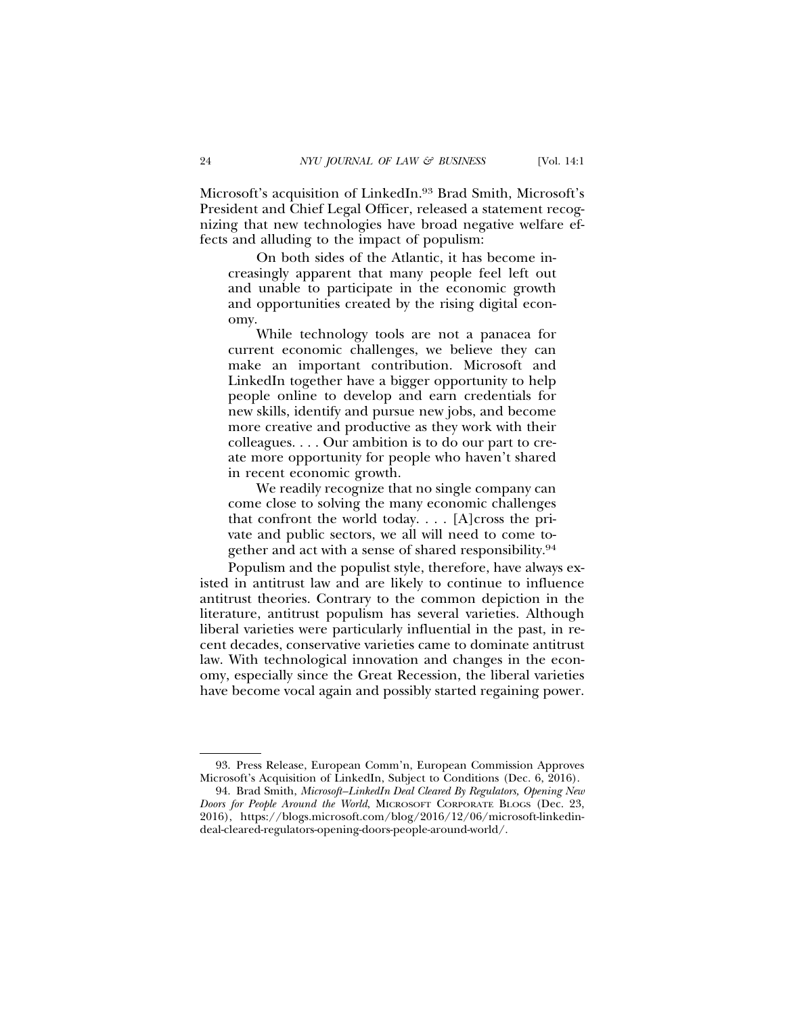Microsoft's acquisition of LinkedIn.93 Brad Smith, Microsoft's President and Chief Legal Officer, released a statement recognizing that new technologies have broad negative welfare effects and alluding to the impact of populism:

On both sides of the Atlantic, it has become increasingly apparent that many people feel left out and unable to participate in the economic growth and opportunities created by the rising digital economy.

While technology tools are not a panacea for current economic challenges, we believe they can make an important contribution. Microsoft and LinkedIn together have a bigger opportunity to help people online to develop and earn credentials for new skills, identify and pursue new jobs, and become more creative and productive as they work with their colleagues. . . . Our ambition is to do our part to create more opportunity for people who haven't shared in recent economic growth.

We readily recognize that no single company can come close to solving the many economic challenges that confront the world today. . . . [A]cross the private and public sectors, we all will need to come together and act with a sense of shared responsibility.94

Populism and the populist style, therefore, have always existed in antitrust law and are likely to continue to influence antitrust theories. Contrary to the common depiction in the literature, antitrust populism has several varieties. Although liberal varieties were particularly influential in the past, in recent decades, conservative varieties came to dominate antitrust law. With technological innovation and changes in the economy, especially since the Great Recession, the liberal varieties have become vocal again and possibly started regaining power.

<sup>93.</sup> Press Release, European Comm'n, European Commission Approves Microsoft's Acquisition of LinkedIn, Subject to Conditions (Dec. 6, 2016).

<sup>94.</sup> Brad Smith, *Microsoft–LinkedIn Deal Cleared By Regulators, Opening New Doors for People Around the World*, MICROSOFT CORPORATE BLOGS (Dec. 23, 2016), https://blogs.microsoft.com/blog/2016/12/06/microsoft-linkedindeal-cleared-regulators-opening-doors-people-around-world/.